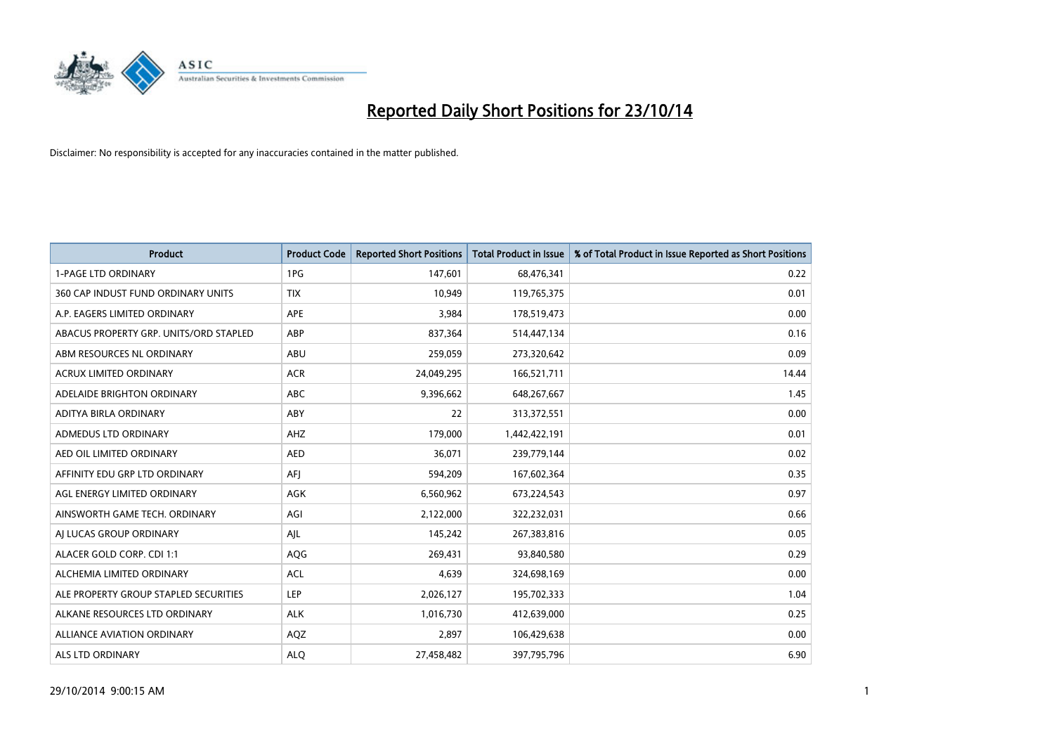

| <b>Product</b>                         | <b>Product Code</b> | <b>Reported Short Positions</b> | <b>Total Product in Issue</b> | % of Total Product in Issue Reported as Short Positions |
|----------------------------------------|---------------------|---------------------------------|-------------------------------|---------------------------------------------------------|
| <b>1-PAGE LTD ORDINARY</b>             | 1PG                 | 147,601                         | 68,476,341                    | 0.22                                                    |
| 360 CAP INDUST FUND ORDINARY UNITS     | <b>TIX</b>          | 10,949                          | 119,765,375                   | 0.01                                                    |
| A.P. EAGERS LIMITED ORDINARY           | APE                 | 3,984                           | 178,519,473                   | 0.00                                                    |
| ABACUS PROPERTY GRP. UNITS/ORD STAPLED | ABP                 | 837,364                         | 514,447,134                   | 0.16                                                    |
| ABM RESOURCES NL ORDINARY              | ABU                 | 259,059                         | 273,320,642                   | 0.09                                                    |
| <b>ACRUX LIMITED ORDINARY</b>          | <b>ACR</b>          | 24,049,295                      | 166,521,711                   | 14.44                                                   |
| ADELAIDE BRIGHTON ORDINARY             | <b>ABC</b>          | 9,396,662                       | 648,267,667                   | 1.45                                                    |
| ADITYA BIRLA ORDINARY                  | ABY                 | 22                              | 313,372,551                   | 0.00                                                    |
| ADMEDUS LTD ORDINARY                   | AHZ                 | 179,000                         | 1,442,422,191                 | 0.01                                                    |
| AED OIL LIMITED ORDINARY               | <b>AED</b>          | 36,071                          | 239,779,144                   | 0.02                                                    |
| AFFINITY EDU GRP LTD ORDINARY          | AFI                 | 594,209                         | 167,602,364                   | 0.35                                                    |
| AGL ENERGY LIMITED ORDINARY            | AGK                 | 6,560,962                       | 673,224,543                   | 0.97                                                    |
| AINSWORTH GAME TECH. ORDINARY          | AGI                 | 2,122,000                       | 322,232,031                   | 0.66                                                    |
| AI LUCAS GROUP ORDINARY                | AJL                 | 145,242                         | 267,383,816                   | 0.05                                                    |
| ALACER GOLD CORP. CDI 1:1              | AQG                 | 269,431                         | 93,840,580                    | 0.29                                                    |
| ALCHEMIA LIMITED ORDINARY              | <b>ACL</b>          | 4,639                           | 324,698,169                   | 0.00                                                    |
| ALE PROPERTY GROUP STAPLED SECURITIES  | LEP                 | 2,026,127                       | 195,702,333                   | 1.04                                                    |
| ALKANE RESOURCES LTD ORDINARY          | <b>ALK</b>          | 1,016,730                       | 412,639,000                   | 0.25                                                    |
| <b>ALLIANCE AVIATION ORDINARY</b>      | AQZ                 | 2,897                           | 106,429,638                   | 0.00                                                    |
| ALS LTD ORDINARY                       | <b>ALO</b>          | 27,458,482                      | 397,795,796                   | 6.90                                                    |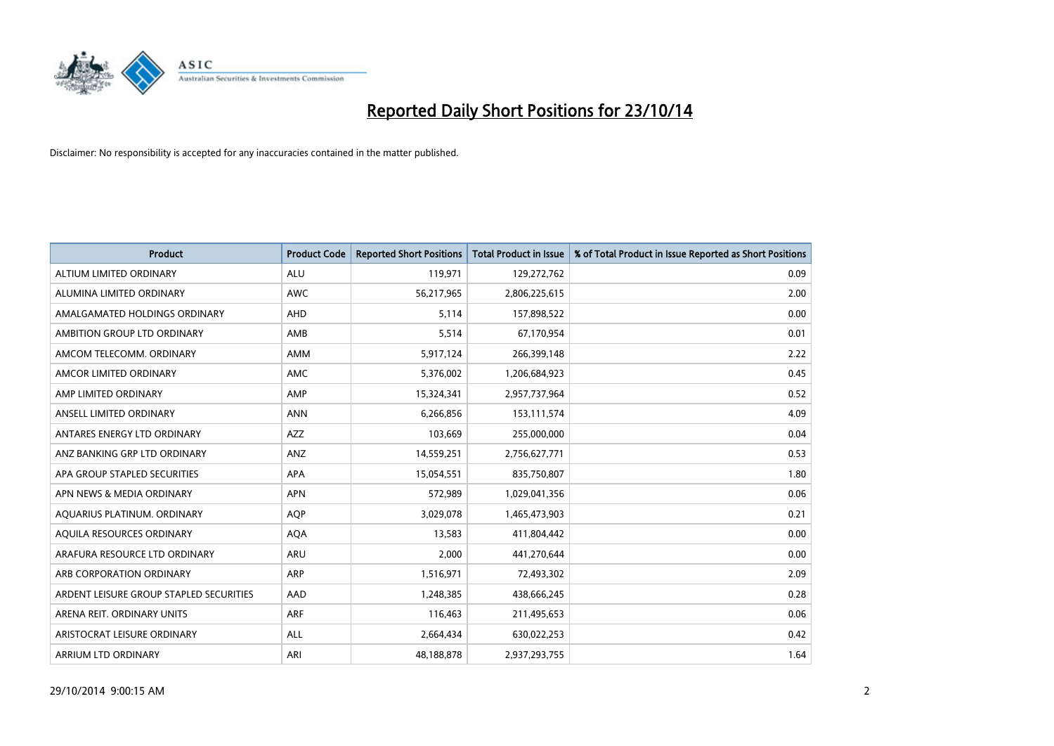

| <b>Product</b>                          | <b>Product Code</b> | <b>Reported Short Positions</b> | <b>Total Product in Issue</b> | % of Total Product in Issue Reported as Short Positions |
|-----------------------------------------|---------------------|---------------------------------|-------------------------------|---------------------------------------------------------|
| ALTIUM LIMITED ORDINARY                 | <b>ALU</b>          | 119,971                         | 129,272,762                   | 0.09                                                    |
| ALUMINA LIMITED ORDINARY                | AWC                 | 56,217,965                      | 2,806,225,615                 | 2.00                                                    |
| AMALGAMATED HOLDINGS ORDINARY           | AHD                 | 5,114                           | 157,898,522                   | 0.00                                                    |
| AMBITION GROUP LTD ORDINARY             | AMB                 | 5,514                           | 67,170,954                    | 0.01                                                    |
| AMCOM TELECOMM, ORDINARY                | AMM                 | 5,917,124                       | 266,399,148                   | 2.22                                                    |
| AMCOR LIMITED ORDINARY                  | <b>AMC</b>          | 5,376,002                       | 1,206,684,923                 | 0.45                                                    |
| AMP LIMITED ORDINARY                    | AMP                 | 15,324,341                      | 2,957,737,964                 | 0.52                                                    |
| ANSELL LIMITED ORDINARY                 | <b>ANN</b>          | 6,266,856                       | 153,111,574                   | 4.09                                                    |
| ANTARES ENERGY LTD ORDINARY             | <b>AZZ</b>          | 103,669                         | 255,000,000                   | 0.04                                                    |
| ANZ BANKING GRP LTD ORDINARY            | ANZ                 | 14,559,251                      | 2,756,627,771                 | 0.53                                                    |
| APA GROUP STAPLED SECURITIES            | APA                 | 15,054,551                      | 835,750,807                   | 1.80                                                    |
| APN NEWS & MEDIA ORDINARY               | <b>APN</b>          | 572,989                         | 1,029,041,356                 | 0.06                                                    |
| AQUARIUS PLATINUM. ORDINARY             | <b>AOP</b>          | 3,029,078                       | 1,465,473,903                 | 0.21                                                    |
| AQUILA RESOURCES ORDINARY               | <b>AQA</b>          | 13,583                          | 411,804,442                   | 0.00                                                    |
| ARAFURA RESOURCE LTD ORDINARY           | <b>ARU</b>          | 2,000                           | 441,270,644                   | 0.00                                                    |
| ARB CORPORATION ORDINARY                | ARP                 | 1,516,971                       | 72,493,302                    | 2.09                                                    |
| ARDENT LEISURE GROUP STAPLED SECURITIES | AAD                 | 1,248,385                       | 438,666,245                   | 0.28                                                    |
| ARENA REIT. ORDINARY UNITS              | <b>ARF</b>          | 116,463                         | 211,495,653                   | 0.06                                                    |
| ARISTOCRAT LEISURE ORDINARY             | ALL                 | 2,664,434                       | 630,022,253                   | 0.42                                                    |
| ARRIUM LTD ORDINARY                     | ARI                 | 48,188,878                      | 2,937,293,755                 | 1.64                                                    |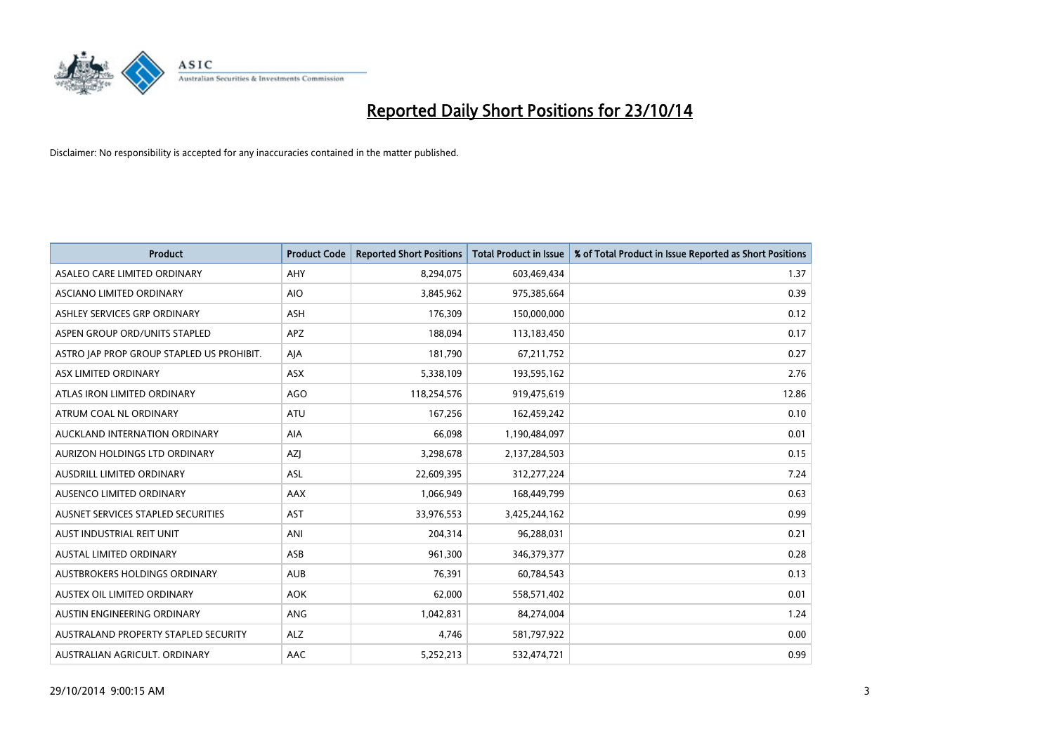

| <b>Product</b>                            | <b>Product Code</b> | <b>Reported Short Positions</b> | <b>Total Product in Issue</b> | % of Total Product in Issue Reported as Short Positions |
|-------------------------------------------|---------------------|---------------------------------|-------------------------------|---------------------------------------------------------|
| ASALEO CARE LIMITED ORDINARY              | AHY                 | 8,294,075                       | 603,469,434                   | 1.37                                                    |
| ASCIANO LIMITED ORDINARY                  | <b>AIO</b>          | 3,845,962                       | 975,385,664                   | 0.39                                                    |
| ASHLEY SERVICES GRP ORDINARY              | <b>ASH</b>          | 176,309                         | 150,000,000                   | 0.12                                                    |
| ASPEN GROUP ORD/UNITS STAPLED             | APZ                 | 188,094                         | 113,183,450                   | 0.17                                                    |
| ASTRO JAP PROP GROUP STAPLED US PROHIBIT. | AJA                 | 181,790                         | 67,211,752                    | 0.27                                                    |
| ASX LIMITED ORDINARY                      | ASX                 | 5,338,109                       | 193,595,162                   | 2.76                                                    |
| ATLAS IRON LIMITED ORDINARY               | <b>AGO</b>          | 118,254,576                     | 919,475,619                   | 12.86                                                   |
| ATRUM COAL NL ORDINARY                    | ATU                 | 167,256                         | 162,459,242                   | 0.10                                                    |
| AUCKLAND INTERNATION ORDINARY             | <b>AIA</b>          | 66,098                          | 1,190,484,097                 | 0.01                                                    |
| AURIZON HOLDINGS LTD ORDINARY             | AZI                 | 3,298,678                       | 2,137,284,503                 | 0.15                                                    |
| AUSDRILL LIMITED ORDINARY                 | ASL                 | 22,609,395                      | 312,277,224                   | 7.24                                                    |
| AUSENCO LIMITED ORDINARY                  | AAX                 | 1,066,949                       | 168,449,799                   | 0.63                                                    |
| AUSNET SERVICES STAPLED SECURITIES        | <b>AST</b>          | 33,976,553                      | 3,425,244,162                 | 0.99                                                    |
| AUST INDUSTRIAL REIT UNIT                 | ANI                 | 204,314                         | 96,288,031                    | 0.21                                                    |
| <b>AUSTAL LIMITED ORDINARY</b>            | ASB                 | 961,300                         | 346,379,377                   | 0.28                                                    |
| AUSTBROKERS HOLDINGS ORDINARY             | <b>AUB</b>          | 76,391                          | 60,784,543                    | 0.13                                                    |
| AUSTEX OIL LIMITED ORDINARY               | <b>AOK</b>          | 62,000                          | 558,571,402                   | 0.01                                                    |
| AUSTIN ENGINEERING ORDINARY               | <b>ANG</b>          | 1,042,831                       | 84,274,004                    | 1.24                                                    |
| AUSTRALAND PROPERTY STAPLED SECURITY      | <b>ALZ</b>          | 4,746                           | 581,797,922                   | 0.00                                                    |
| AUSTRALIAN AGRICULT. ORDINARY             | AAC                 | 5,252,213                       | 532,474,721                   | 0.99                                                    |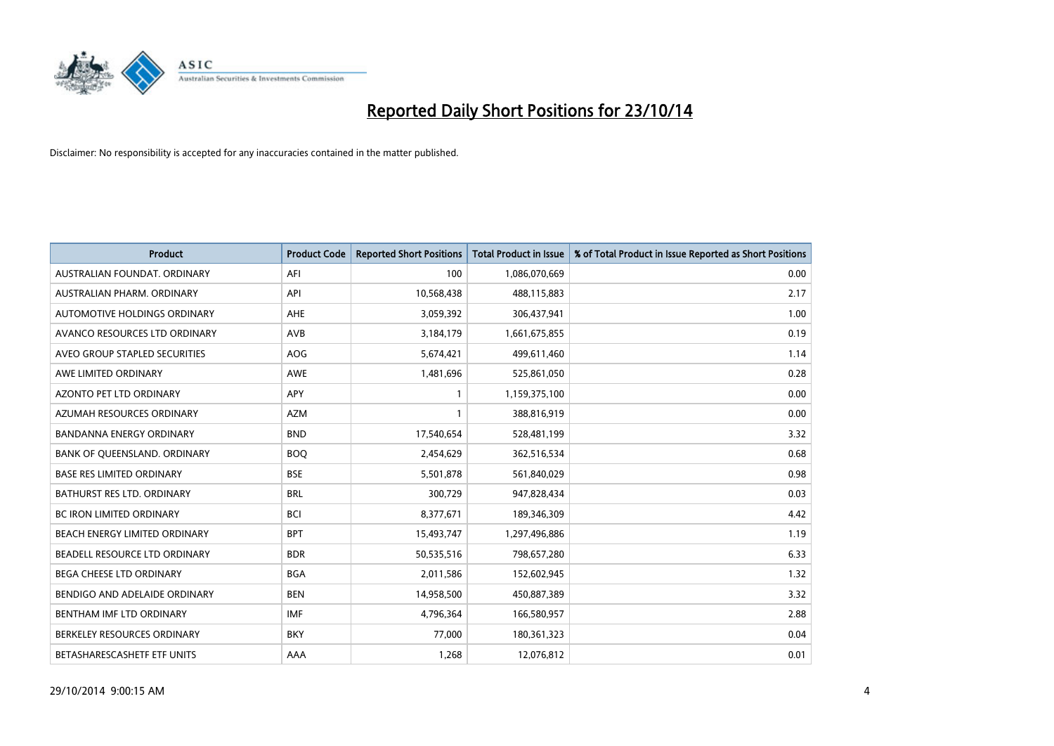

| <b>Product</b>                   | <b>Product Code</b> | <b>Reported Short Positions</b> | <b>Total Product in Issue</b> | % of Total Product in Issue Reported as Short Positions |
|----------------------------------|---------------------|---------------------------------|-------------------------------|---------------------------------------------------------|
| AUSTRALIAN FOUNDAT, ORDINARY     | AFI                 | 100                             | 1,086,070,669                 | 0.00                                                    |
| AUSTRALIAN PHARM. ORDINARY       | API                 | 10,568,438                      | 488,115,883                   | 2.17                                                    |
| AUTOMOTIVE HOLDINGS ORDINARY     | AHE                 | 3,059,392                       | 306,437,941                   | 1.00                                                    |
| AVANCO RESOURCES LTD ORDINARY    | AVB                 | 3,184,179                       | 1,661,675,855                 | 0.19                                                    |
| AVEO GROUP STAPLED SECURITIES    | AOG                 | 5,674,421                       | 499,611,460                   | 1.14                                                    |
| AWE LIMITED ORDINARY             | AWE                 | 1,481,696                       | 525,861,050                   | 0.28                                                    |
| AZONTO PET LTD ORDINARY          | APY                 | 1                               | 1,159,375,100                 | 0.00                                                    |
| AZUMAH RESOURCES ORDINARY        | <b>AZM</b>          | $\mathbf{1}$                    | 388,816,919                   | 0.00                                                    |
| <b>BANDANNA ENERGY ORDINARY</b>  | <b>BND</b>          | 17,540,654                      | 528,481,199                   | 3.32                                                    |
| BANK OF QUEENSLAND. ORDINARY     | <b>BOQ</b>          | 2,454,629                       | 362,516,534                   | 0.68                                                    |
| <b>BASE RES LIMITED ORDINARY</b> | <b>BSE</b>          | 5,501,878                       | 561,840,029                   | 0.98                                                    |
| BATHURST RES LTD. ORDINARY       | <b>BRL</b>          | 300,729                         | 947,828,434                   | 0.03                                                    |
| BC IRON LIMITED ORDINARY         | <b>BCI</b>          | 8,377,671                       | 189,346,309                   | 4.42                                                    |
| BEACH ENERGY LIMITED ORDINARY    | <b>BPT</b>          | 15,493,747                      | 1,297,496,886                 | 1.19                                                    |
| BEADELL RESOURCE LTD ORDINARY    | <b>BDR</b>          | 50,535,516                      | 798,657,280                   | 6.33                                                    |
| <b>BEGA CHEESE LTD ORDINARY</b>  | <b>BGA</b>          | 2,011,586                       | 152,602,945                   | 1.32                                                    |
| BENDIGO AND ADELAIDE ORDINARY    | <b>BEN</b>          | 14,958,500                      | 450,887,389                   | 3.32                                                    |
| BENTHAM IMF LTD ORDINARY         | <b>IMF</b>          | 4,796,364                       | 166,580,957                   | 2.88                                                    |
| BERKELEY RESOURCES ORDINARY      | <b>BKY</b>          | 77,000                          | 180,361,323                   | 0.04                                                    |
| BETASHARESCASHETF ETF UNITS      | AAA                 | 1,268                           | 12,076,812                    | 0.01                                                    |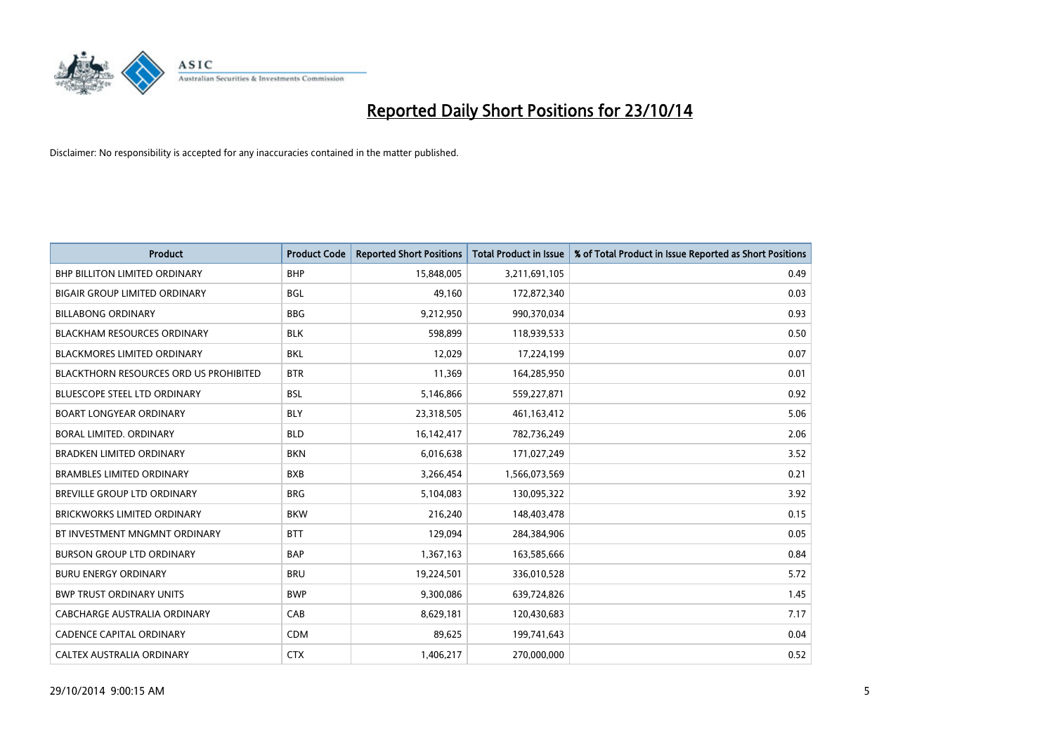

| <b>Product</b>                                | <b>Product Code</b> | <b>Reported Short Positions</b> | <b>Total Product in Issue</b> | % of Total Product in Issue Reported as Short Positions |
|-----------------------------------------------|---------------------|---------------------------------|-------------------------------|---------------------------------------------------------|
| <b>BHP BILLITON LIMITED ORDINARY</b>          | <b>BHP</b>          | 15,848,005                      | 3,211,691,105                 | 0.49                                                    |
| <b>BIGAIR GROUP LIMITED ORDINARY</b>          | <b>BGL</b>          | 49,160                          | 172,872,340                   | 0.03                                                    |
| <b>BILLABONG ORDINARY</b>                     | <b>BBG</b>          | 9,212,950                       | 990,370,034                   | 0.93                                                    |
| <b>BLACKHAM RESOURCES ORDINARY</b>            | <b>BLK</b>          | 598,899                         | 118,939,533                   | 0.50                                                    |
| <b>BLACKMORES LIMITED ORDINARY</b>            | <b>BKL</b>          | 12,029                          | 17,224,199                    | 0.07                                                    |
| <b>BLACKTHORN RESOURCES ORD US PROHIBITED</b> | <b>BTR</b>          | 11,369                          | 164,285,950                   | 0.01                                                    |
| BLUESCOPE STEEL LTD ORDINARY                  | <b>BSL</b>          | 5,146,866                       | 559,227,871                   | 0.92                                                    |
| <b>BOART LONGYEAR ORDINARY</b>                | <b>BLY</b>          | 23,318,505                      | 461,163,412                   | 5.06                                                    |
| <b>BORAL LIMITED, ORDINARY</b>                | <b>BLD</b>          | 16,142,417                      | 782,736,249                   | 2.06                                                    |
| <b>BRADKEN LIMITED ORDINARY</b>               | <b>BKN</b>          | 6,016,638                       | 171,027,249                   | 3.52                                                    |
| <b>BRAMBLES LIMITED ORDINARY</b>              | <b>BXB</b>          | 3,266,454                       | 1,566,073,569                 | 0.21                                                    |
| BREVILLE GROUP LTD ORDINARY                   | <b>BRG</b>          | 5,104,083                       | 130,095,322                   | 3.92                                                    |
| <b>BRICKWORKS LIMITED ORDINARY</b>            | <b>BKW</b>          | 216,240                         | 148,403,478                   | 0.15                                                    |
| BT INVESTMENT MNGMNT ORDINARY                 | <b>BTT</b>          | 129,094                         | 284,384,906                   | 0.05                                                    |
| <b>BURSON GROUP LTD ORDINARY</b>              | <b>BAP</b>          | 1,367,163                       | 163,585,666                   | 0.84                                                    |
| <b>BURU ENERGY ORDINARY</b>                   | <b>BRU</b>          | 19,224,501                      | 336,010,528                   | 5.72                                                    |
| <b>BWP TRUST ORDINARY UNITS</b>               | <b>BWP</b>          | 9,300,086                       | 639,724,826                   | 1.45                                                    |
| <b>CABCHARGE AUSTRALIA ORDINARY</b>           | CAB                 | 8,629,181                       | 120,430,683                   | 7.17                                                    |
| CADENCE CAPITAL ORDINARY                      | <b>CDM</b>          | 89,625                          | 199,741,643                   | 0.04                                                    |
| CALTEX AUSTRALIA ORDINARY                     | <b>CTX</b>          | 1,406,217                       | 270,000,000                   | 0.52                                                    |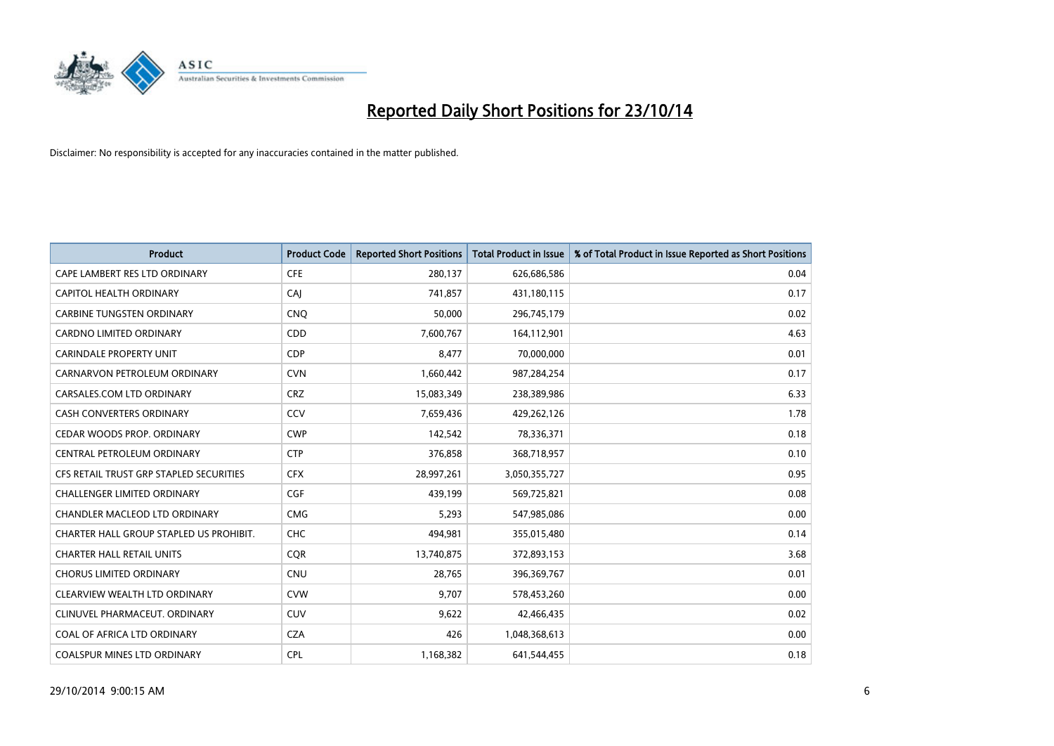

| <b>Product</b>                          | <b>Product Code</b> | <b>Reported Short Positions</b> | <b>Total Product in Issue</b> | % of Total Product in Issue Reported as Short Positions |
|-----------------------------------------|---------------------|---------------------------------|-------------------------------|---------------------------------------------------------|
| CAPE LAMBERT RES LTD ORDINARY           | <b>CFE</b>          | 280,137                         | 626,686,586                   | 0.04                                                    |
| CAPITOL HEALTH ORDINARY                 | CAI                 | 741,857                         | 431,180,115                   | 0.17                                                    |
| <b>CARBINE TUNGSTEN ORDINARY</b>        | <b>CNQ</b>          | 50,000                          | 296,745,179                   | 0.02                                                    |
| CARDNO LIMITED ORDINARY                 | CDD                 | 7,600,767                       | 164,112,901                   | 4.63                                                    |
| <b>CARINDALE PROPERTY UNIT</b>          | <b>CDP</b>          | 8,477                           | 70,000,000                    | 0.01                                                    |
| CARNARVON PETROLEUM ORDINARY            | <b>CVN</b>          | 1,660,442                       | 987,284,254                   | 0.17                                                    |
| CARSALES.COM LTD ORDINARY               | <b>CRZ</b>          | 15,083,349                      | 238,389,986                   | 6.33                                                    |
| <b>CASH CONVERTERS ORDINARY</b>         | CCV                 | 7,659,436                       | 429,262,126                   | 1.78                                                    |
| CEDAR WOODS PROP. ORDINARY              | <b>CWP</b>          | 142,542                         | 78,336,371                    | 0.18                                                    |
| CENTRAL PETROLEUM ORDINARY              | <b>CTP</b>          | 376,858                         | 368,718,957                   | 0.10                                                    |
| CFS RETAIL TRUST GRP STAPLED SECURITIES | <b>CFX</b>          | 28,997,261                      | 3,050,355,727                 | 0.95                                                    |
| <b>CHALLENGER LIMITED ORDINARY</b>      | <b>CGF</b>          | 439,199                         | 569,725,821                   | 0.08                                                    |
| CHANDLER MACLEOD LTD ORDINARY           | <b>CMG</b>          | 5,293                           | 547,985,086                   | 0.00                                                    |
| CHARTER HALL GROUP STAPLED US PROHIBIT. | <b>CHC</b>          | 494,981                         | 355,015,480                   | 0.14                                                    |
| <b>CHARTER HALL RETAIL UNITS</b>        | CQR                 | 13,740,875                      | 372,893,153                   | 3.68                                                    |
| <b>CHORUS LIMITED ORDINARY</b>          | <b>CNU</b>          | 28,765                          | 396,369,767                   | 0.01                                                    |
| CLEARVIEW WEALTH LTD ORDINARY           | <b>CVW</b>          | 9,707                           | 578,453,260                   | 0.00                                                    |
| CLINUVEL PHARMACEUT. ORDINARY           | <b>CUV</b>          | 9,622                           | 42,466,435                    | 0.02                                                    |
| COAL OF AFRICA LTD ORDINARY             | <b>CZA</b>          | 426                             | 1,048,368,613                 | 0.00                                                    |
| <b>COALSPUR MINES LTD ORDINARY</b>      | <b>CPL</b>          | 1,168,382                       | 641,544,455                   | 0.18                                                    |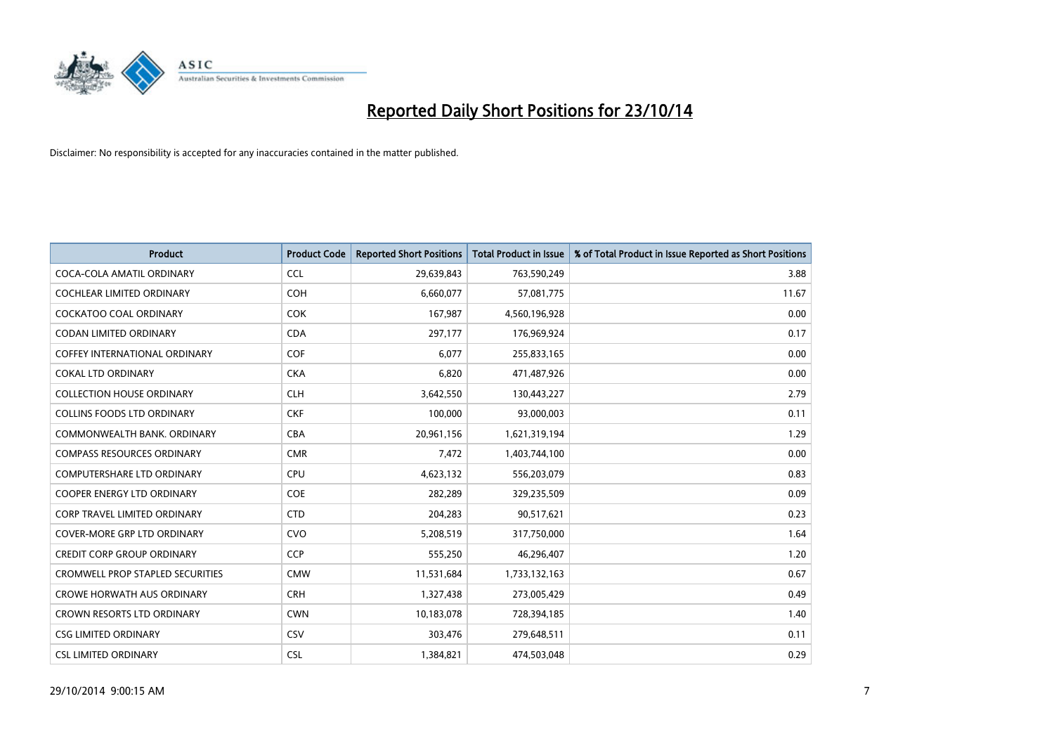

| <b>Product</b>                          | <b>Product Code</b> | <b>Reported Short Positions</b> | <b>Total Product in Issue</b> | % of Total Product in Issue Reported as Short Positions |
|-----------------------------------------|---------------------|---------------------------------|-------------------------------|---------------------------------------------------------|
| COCA-COLA AMATIL ORDINARY               | <b>CCL</b>          | 29,639,843                      | 763,590,249                   | 3.88                                                    |
| COCHLEAR LIMITED ORDINARY               | <b>COH</b>          | 6,660,077                       | 57,081,775                    | 11.67                                                   |
| <b>COCKATOO COAL ORDINARY</b>           | <b>COK</b>          | 167,987                         | 4,560,196,928                 | 0.00                                                    |
| <b>CODAN LIMITED ORDINARY</b>           | <b>CDA</b>          | 297,177                         | 176,969,924                   | 0.17                                                    |
| COFFEY INTERNATIONAL ORDINARY           | <b>COF</b>          | 6,077                           | 255,833,165                   | 0.00                                                    |
| <b>COKAL LTD ORDINARY</b>               | <b>CKA</b>          | 6,820                           | 471,487,926                   | 0.00                                                    |
| <b>COLLECTION HOUSE ORDINARY</b>        | <b>CLH</b>          | 3,642,550                       | 130,443,227                   | 2.79                                                    |
| <b>COLLINS FOODS LTD ORDINARY</b>       | <b>CKF</b>          | 100,000                         | 93,000,003                    | 0.11                                                    |
| COMMONWEALTH BANK, ORDINARY             | <b>CBA</b>          | 20,961,156                      | 1,621,319,194                 | 1.29                                                    |
| <b>COMPASS RESOURCES ORDINARY</b>       | <b>CMR</b>          | 7,472                           | 1,403,744,100                 | 0.00                                                    |
| COMPUTERSHARE LTD ORDINARY              | <b>CPU</b>          | 4,623,132                       | 556,203,079                   | 0.83                                                    |
| <b>COOPER ENERGY LTD ORDINARY</b>       | <b>COE</b>          | 282,289                         | 329,235,509                   | 0.09                                                    |
| <b>CORP TRAVEL LIMITED ORDINARY</b>     | <b>CTD</b>          | 204,283                         | 90,517,621                    | 0.23                                                    |
| <b>COVER-MORE GRP LTD ORDINARY</b>      | <b>CVO</b>          | 5,208,519                       | 317,750,000                   | 1.64                                                    |
| <b>CREDIT CORP GROUP ORDINARY</b>       | <b>CCP</b>          | 555,250                         | 46,296,407                    | 1.20                                                    |
| <b>CROMWELL PROP STAPLED SECURITIES</b> | <b>CMW</b>          | 11,531,684                      | 1,733,132,163                 | 0.67                                                    |
| <b>CROWE HORWATH AUS ORDINARY</b>       | <b>CRH</b>          | 1,327,438                       | 273,005,429                   | 0.49                                                    |
| CROWN RESORTS LTD ORDINARY              | <b>CWN</b>          | 10,183,078                      | 728,394,185                   | 1.40                                                    |
| <b>CSG LIMITED ORDINARY</b>             | CSV                 | 303,476                         | 279,648,511                   | 0.11                                                    |
| <b>CSL LIMITED ORDINARY</b>             | <b>CSL</b>          | 1,384,821                       | 474,503,048                   | 0.29                                                    |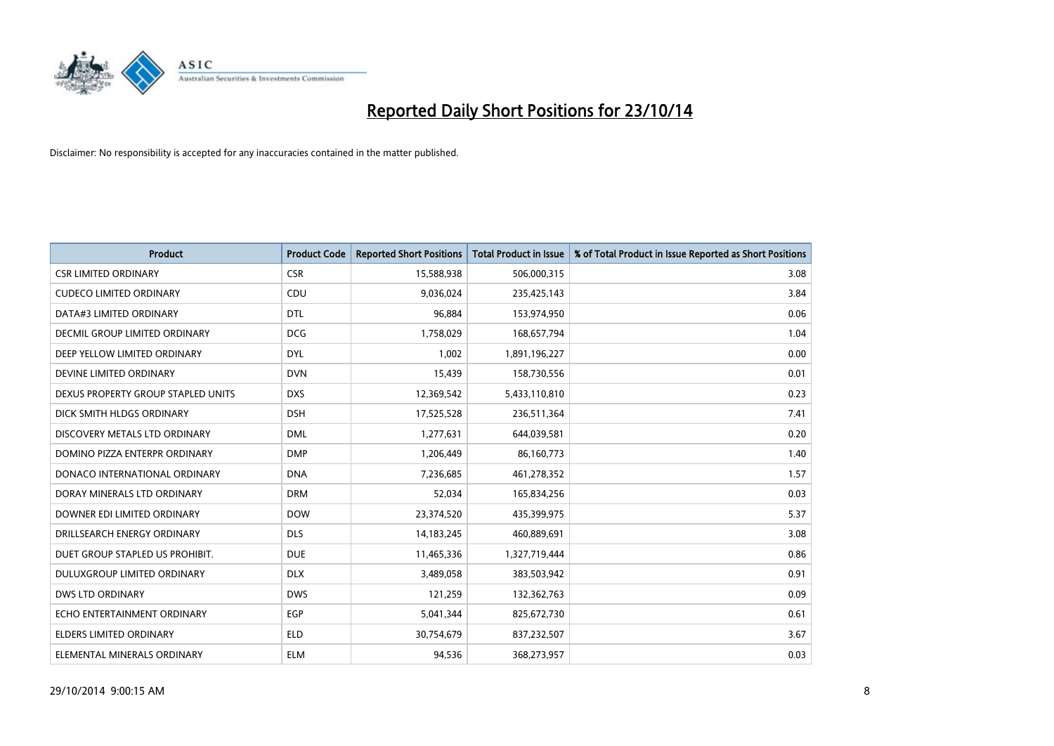

| <b>Product</b>                     | <b>Product Code</b> | <b>Reported Short Positions</b> | <b>Total Product in Issue</b> | % of Total Product in Issue Reported as Short Positions |
|------------------------------------|---------------------|---------------------------------|-------------------------------|---------------------------------------------------------|
| <b>CSR LIMITED ORDINARY</b>        | <b>CSR</b>          | 15,588,938                      | 506,000,315                   | 3.08                                                    |
| <b>CUDECO LIMITED ORDINARY</b>     | <b>CDU</b>          | 9,036,024                       | 235,425,143                   | 3.84                                                    |
| DATA#3 LIMITED ORDINARY            | <b>DTL</b>          | 96,884                          | 153,974,950                   | 0.06                                                    |
| DECMIL GROUP LIMITED ORDINARY      | <b>DCG</b>          | 1,758,029                       | 168,657,794                   | 1.04                                                    |
| DEEP YELLOW LIMITED ORDINARY       | <b>DYL</b>          | 1,002                           | 1,891,196,227                 | 0.00                                                    |
| DEVINE LIMITED ORDINARY            | <b>DVN</b>          | 15,439                          | 158,730,556                   | 0.01                                                    |
| DEXUS PROPERTY GROUP STAPLED UNITS | <b>DXS</b>          | 12,369,542                      | 5,433,110,810                 | 0.23                                                    |
| DICK SMITH HLDGS ORDINARY          | <b>DSH</b>          | 17,525,528                      | 236,511,364                   | 7.41                                                    |
| DISCOVERY METALS LTD ORDINARY      | <b>DML</b>          | 1,277,631                       | 644,039,581                   | 0.20                                                    |
| DOMINO PIZZA ENTERPR ORDINARY      | <b>DMP</b>          | 1,206,449                       | 86,160,773                    | 1.40                                                    |
| DONACO INTERNATIONAL ORDINARY      | <b>DNA</b>          | 7,236,685                       | 461,278,352                   | 1.57                                                    |
| DORAY MINERALS LTD ORDINARY        | <b>DRM</b>          | 52,034                          | 165,834,256                   | 0.03                                                    |
| DOWNER EDI LIMITED ORDINARY        | <b>DOW</b>          | 23,374,520                      | 435,399,975                   | 5.37                                                    |
| DRILLSEARCH ENERGY ORDINARY        | <b>DLS</b>          | 14, 183, 245                    | 460,889,691                   | 3.08                                                    |
| DUET GROUP STAPLED US PROHIBIT.    | <b>DUE</b>          | 11,465,336                      | 1,327,719,444                 | 0.86                                                    |
| DULUXGROUP LIMITED ORDINARY        | <b>DLX</b>          | 3,489,058                       | 383,503,942                   | 0.91                                                    |
| <b>DWS LTD ORDINARY</b>            | <b>DWS</b>          | 121,259                         | 132,362,763                   | 0.09                                                    |
| ECHO ENTERTAINMENT ORDINARY        | <b>EGP</b>          | 5,041,344                       | 825,672,730                   | 0.61                                                    |
| <b>ELDERS LIMITED ORDINARY</b>     | <b>ELD</b>          | 30,754,679                      | 837,232,507                   | 3.67                                                    |
| ELEMENTAL MINERALS ORDINARY        | <b>ELM</b>          | 94,536                          | 368,273,957                   | 0.03                                                    |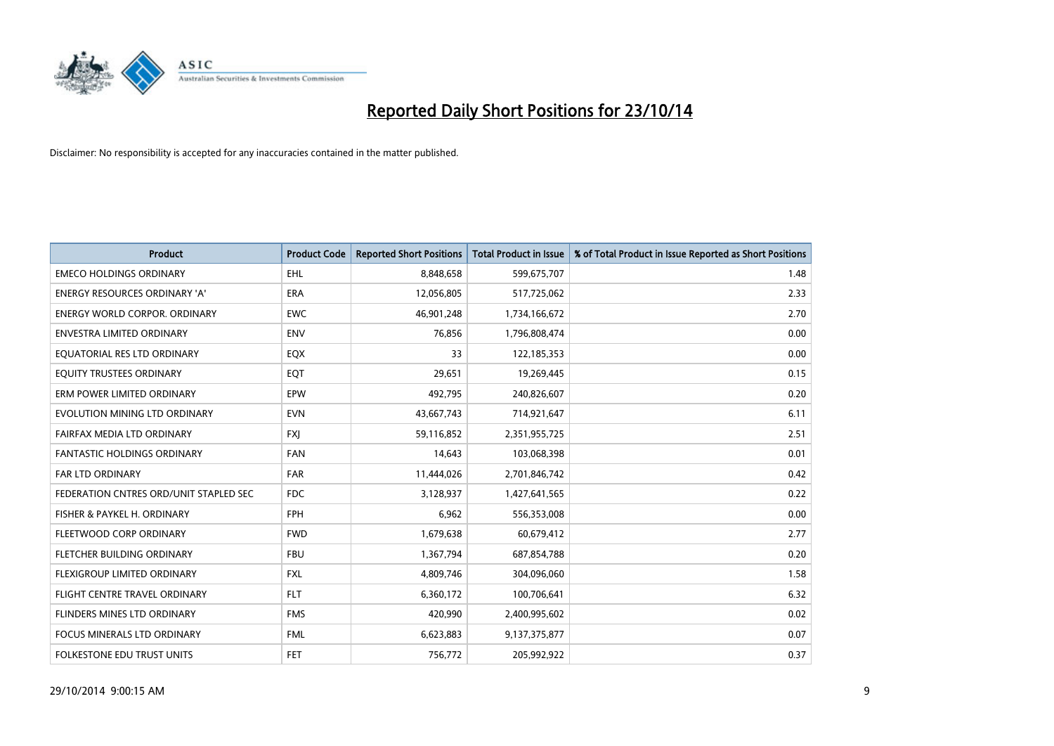

| <b>Product</b>                         | <b>Product Code</b> | <b>Reported Short Positions</b> | <b>Total Product in Issue</b> | % of Total Product in Issue Reported as Short Positions |
|----------------------------------------|---------------------|---------------------------------|-------------------------------|---------------------------------------------------------|
| <b>EMECO HOLDINGS ORDINARY</b>         | <b>EHL</b>          | 8,848,658                       | 599,675,707                   | 1.48                                                    |
| <b>ENERGY RESOURCES ORDINARY 'A'</b>   | <b>ERA</b>          | 12,056,805                      | 517,725,062                   | 2.33                                                    |
| <b>ENERGY WORLD CORPOR, ORDINARY</b>   | <b>EWC</b>          | 46,901,248                      | 1,734,166,672                 | 2.70                                                    |
| ENVESTRA LIMITED ORDINARY              | <b>ENV</b>          | 76,856                          | 1,796,808,474                 | 0.00                                                    |
| EQUATORIAL RES LTD ORDINARY            | EQX                 | 33                              | 122,185,353                   | 0.00                                                    |
| EQUITY TRUSTEES ORDINARY               | EQT                 | 29,651                          | 19,269,445                    | 0.15                                                    |
| ERM POWER LIMITED ORDINARY             | EPW                 | 492,795                         | 240,826,607                   | 0.20                                                    |
| EVOLUTION MINING LTD ORDINARY          | <b>EVN</b>          | 43,667,743                      | 714,921,647                   | 6.11                                                    |
| FAIRFAX MEDIA LTD ORDINARY             | <b>FXJ</b>          | 59,116,852                      | 2,351,955,725                 | 2.51                                                    |
| <b>FANTASTIC HOLDINGS ORDINARY</b>     | <b>FAN</b>          | 14,643                          | 103,068,398                   | 0.01                                                    |
| FAR LTD ORDINARY                       | FAR                 | 11,444,026                      | 2,701,846,742                 | 0.42                                                    |
| FEDERATION CNTRES ORD/UNIT STAPLED SEC | <b>FDC</b>          | 3,128,937                       | 1,427,641,565                 | 0.22                                                    |
| FISHER & PAYKEL H. ORDINARY            | <b>FPH</b>          | 6,962                           | 556,353,008                   | 0.00                                                    |
| FLEETWOOD CORP ORDINARY                | <b>FWD</b>          | 1,679,638                       | 60,679,412                    | 2.77                                                    |
| FLETCHER BUILDING ORDINARY             | <b>FBU</b>          | 1,367,794                       | 687,854,788                   | 0.20                                                    |
| FLEXIGROUP LIMITED ORDINARY            | <b>FXL</b>          | 4,809,746                       | 304,096,060                   | 1.58                                                    |
| FLIGHT CENTRE TRAVEL ORDINARY          | <b>FLT</b>          | 6,360,172                       | 100,706,641                   | 6.32                                                    |
| FLINDERS MINES LTD ORDINARY            | <b>FMS</b>          | 420,990                         | 2,400,995,602                 | 0.02                                                    |
| <b>FOCUS MINERALS LTD ORDINARY</b>     | <b>FML</b>          | 6,623,883                       | 9,137,375,877                 | 0.07                                                    |
| FOLKESTONE EDU TRUST UNITS             | <b>FET</b>          | 756,772                         | 205,992,922                   | 0.37                                                    |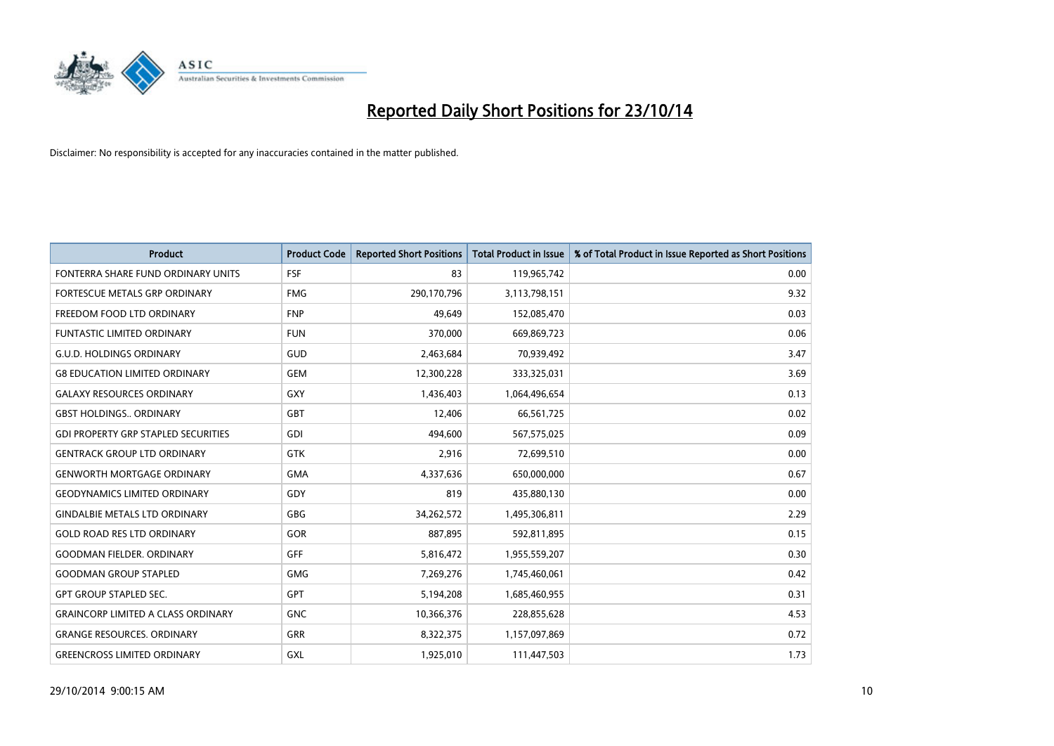

| <b>Product</b>                             | <b>Product Code</b> | <b>Reported Short Positions</b> | <b>Total Product in Issue</b> | % of Total Product in Issue Reported as Short Positions |
|--------------------------------------------|---------------------|---------------------------------|-------------------------------|---------------------------------------------------------|
| FONTERRA SHARE FUND ORDINARY UNITS         | <b>FSF</b>          | 83                              | 119,965,742                   | 0.00                                                    |
| FORTESCUE METALS GRP ORDINARY              | <b>FMG</b>          | 290,170,796                     | 3,113,798,151                 | 9.32                                                    |
| FREEDOM FOOD LTD ORDINARY                  | <b>FNP</b>          | 49,649                          | 152,085,470                   | 0.03                                                    |
| FUNTASTIC LIMITED ORDINARY                 | <b>FUN</b>          | 370,000                         | 669,869,723                   | 0.06                                                    |
| <b>G.U.D. HOLDINGS ORDINARY</b>            | GUD                 | 2,463,684                       | 70,939,492                    | 3.47                                                    |
| <b>G8 EDUCATION LIMITED ORDINARY</b>       | <b>GEM</b>          | 12,300,228                      | 333,325,031                   | 3.69                                                    |
| <b>GALAXY RESOURCES ORDINARY</b>           | GXY                 | 1,436,403                       | 1,064,496,654                 | 0.13                                                    |
| <b>GBST HOLDINGS ORDINARY</b>              | GBT                 | 12,406                          | 66,561,725                    | 0.02                                                    |
| <b>GDI PROPERTY GRP STAPLED SECURITIES</b> | <b>GDI</b>          | 494.600                         | 567,575,025                   | 0.09                                                    |
| <b>GENTRACK GROUP LTD ORDINARY</b>         | <b>GTK</b>          | 2,916                           | 72,699,510                    | 0.00                                                    |
| <b>GENWORTH MORTGAGE ORDINARY</b>          | <b>GMA</b>          | 4,337,636                       | 650,000,000                   | 0.67                                                    |
| <b>GEODYNAMICS LIMITED ORDINARY</b>        | GDY                 | 819                             | 435,880,130                   | 0.00                                                    |
| <b>GINDALBIE METALS LTD ORDINARY</b>       | <b>GBG</b>          | 34,262,572                      | 1,495,306,811                 | 2.29                                                    |
| <b>GOLD ROAD RES LTD ORDINARY</b>          | GOR                 | 887,895                         | 592,811,895                   | 0.15                                                    |
| <b>GOODMAN FIELDER, ORDINARY</b>           | <b>GFF</b>          | 5,816,472                       | 1,955,559,207                 | 0.30                                                    |
| <b>GOODMAN GROUP STAPLED</b>               | <b>GMG</b>          | 7,269,276                       | 1,745,460,061                 | 0.42                                                    |
| <b>GPT GROUP STAPLED SEC.</b>              | <b>GPT</b>          | 5,194,208                       | 1,685,460,955                 | 0.31                                                    |
| <b>GRAINCORP LIMITED A CLASS ORDINARY</b>  | <b>GNC</b>          | 10,366,376                      | 228,855,628                   | 4.53                                                    |
| <b>GRANGE RESOURCES, ORDINARY</b>          | <b>GRR</b>          | 8,322,375                       | 1,157,097,869                 | 0.72                                                    |
| <b>GREENCROSS LIMITED ORDINARY</b>         | GXL                 | 1,925,010                       | 111,447,503                   | 1.73                                                    |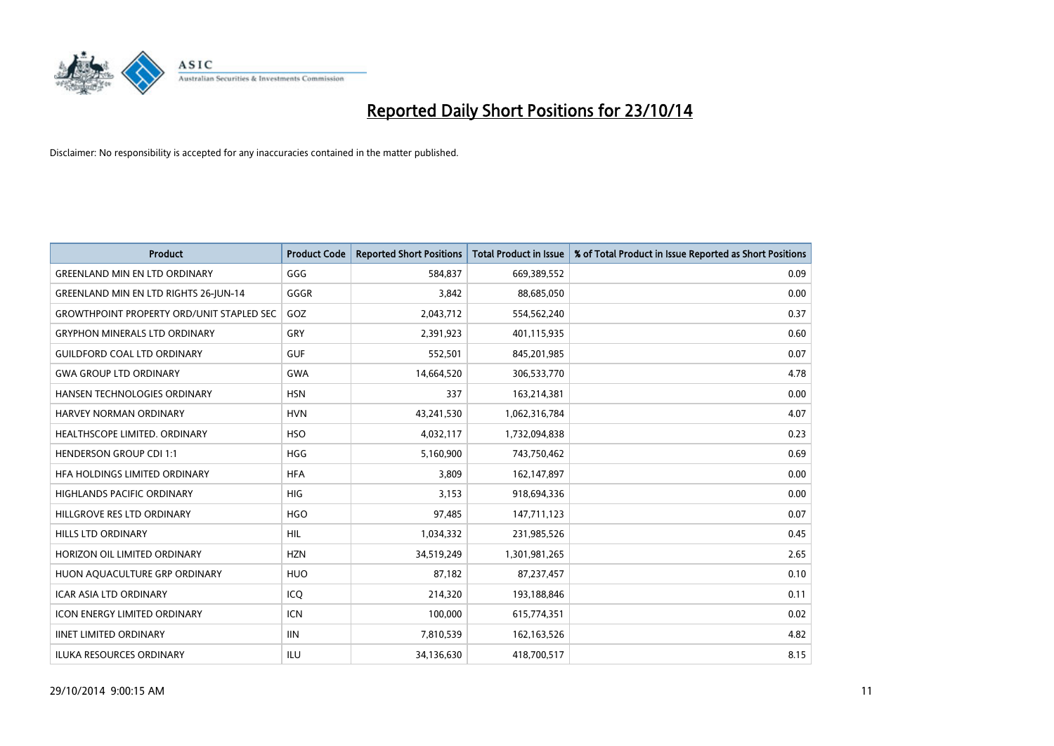

| <b>Product</b>                                   | <b>Product Code</b> | <b>Reported Short Positions</b> | <b>Total Product in Issue</b> | % of Total Product in Issue Reported as Short Positions |
|--------------------------------------------------|---------------------|---------------------------------|-------------------------------|---------------------------------------------------------|
| <b>GREENLAND MIN EN LTD ORDINARY</b>             | GGG                 | 584.837                         | 669,389,552                   | 0.09                                                    |
| <b>GREENLAND MIN EN LTD RIGHTS 26-JUN-14</b>     | GGGR                | 3,842                           | 88,685,050                    | 0.00                                                    |
| <b>GROWTHPOINT PROPERTY ORD/UNIT STAPLED SEC</b> | GOZ                 | 2,043,712                       | 554,562,240                   | 0.37                                                    |
| <b>GRYPHON MINERALS LTD ORDINARY</b>             | GRY                 | 2,391,923                       | 401,115,935                   | 0.60                                                    |
| <b>GUILDFORD COAL LTD ORDINARY</b>               | <b>GUF</b>          | 552,501                         | 845,201,985                   | 0.07                                                    |
| <b>GWA GROUP LTD ORDINARY</b>                    | <b>GWA</b>          | 14,664,520                      | 306,533,770                   | 4.78                                                    |
| <b>HANSEN TECHNOLOGIES ORDINARY</b>              | <b>HSN</b>          | 337                             | 163,214,381                   | 0.00                                                    |
| HARVEY NORMAN ORDINARY                           | <b>HVN</b>          | 43,241,530                      | 1,062,316,784                 | 4.07                                                    |
| HEALTHSCOPE LIMITED. ORDINARY                    | <b>HSO</b>          | 4,032,117                       | 1,732,094,838                 | 0.23                                                    |
| <b>HENDERSON GROUP CDI 1:1</b>                   | <b>HGG</b>          | 5,160,900                       | 743,750,462                   | 0.69                                                    |
| HFA HOLDINGS LIMITED ORDINARY                    | <b>HFA</b>          | 3,809                           | 162,147,897                   | 0.00                                                    |
| <b>HIGHLANDS PACIFIC ORDINARY</b>                | <b>HIG</b>          | 3,153                           | 918,694,336                   | 0.00                                                    |
| HILLGROVE RES LTD ORDINARY                       | <b>HGO</b>          | 97,485                          | 147,711,123                   | 0.07                                                    |
| <b>HILLS LTD ORDINARY</b>                        | HIL                 | 1,034,332                       | 231,985,526                   | 0.45                                                    |
| HORIZON OIL LIMITED ORDINARY                     | <b>HZN</b>          | 34,519,249                      | 1,301,981,265                 | 2.65                                                    |
| HUON AQUACULTURE GRP ORDINARY                    | <b>HUO</b>          | 87,182                          | 87,237,457                    | 0.10                                                    |
| ICAR ASIA LTD ORDINARY                           | ICQ                 | 214,320                         | 193,188,846                   | 0.11                                                    |
| <b>ICON ENERGY LIMITED ORDINARY</b>              | <b>ICN</b>          | 100,000                         | 615,774,351                   | 0.02                                                    |
| <b>IINET LIMITED ORDINARY</b>                    | <b>IIN</b>          | 7,810,539                       | 162, 163, 526                 | 4.82                                                    |
| ILUKA RESOURCES ORDINARY                         | ILU                 | 34,136,630                      | 418,700,517                   | 8.15                                                    |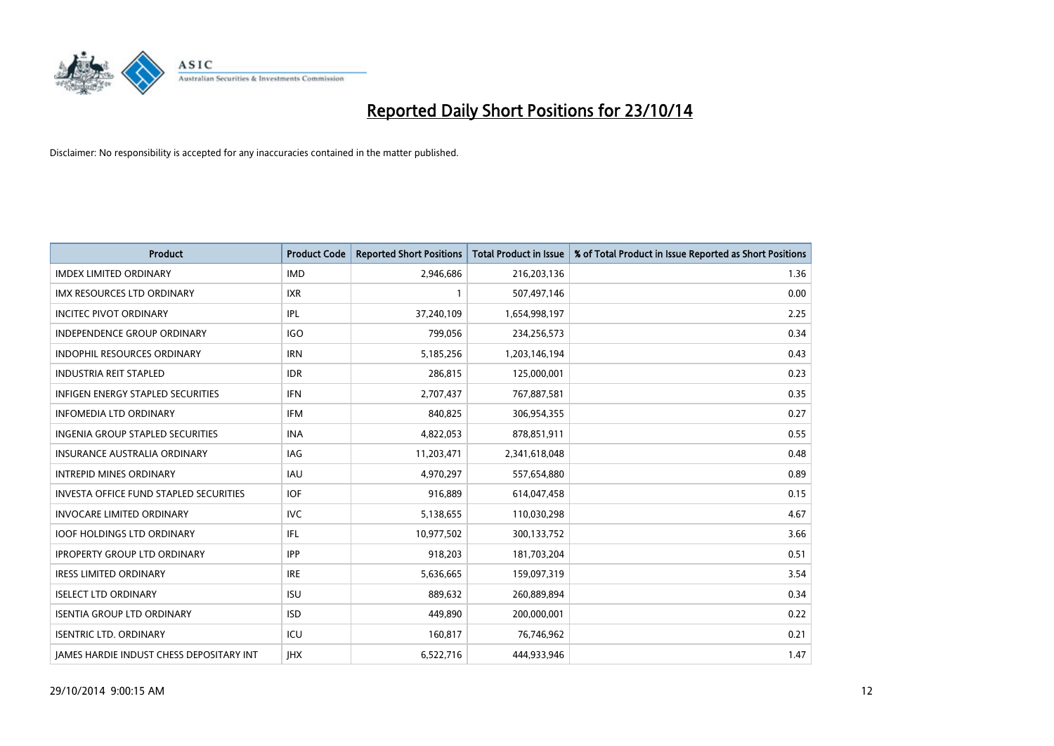

| <b>Product</b>                                  | <b>Product Code</b> | <b>Reported Short Positions</b> | <b>Total Product in Issue</b> | % of Total Product in Issue Reported as Short Positions |
|-------------------------------------------------|---------------------|---------------------------------|-------------------------------|---------------------------------------------------------|
| <b>IMDEX LIMITED ORDINARY</b>                   | <b>IMD</b>          | 2,946,686                       | 216,203,136                   | 1.36                                                    |
| <b>IMX RESOURCES LTD ORDINARY</b>               | IXR                 |                                 | 507,497,146                   | 0.00                                                    |
| <b>INCITEC PIVOT ORDINARY</b>                   | IPL                 | 37,240,109                      | 1,654,998,197                 | 2.25                                                    |
| INDEPENDENCE GROUP ORDINARY                     | <b>IGO</b>          | 799,056                         | 234,256,573                   | 0.34                                                    |
| <b>INDOPHIL RESOURCES ORDINARY</b>              | <b>IRN</b>          | 5,185,256                       | 1,203,146,194                 | 0.43                                                    |
| <b>INDUSTRIA REIT STAPLED</b>                   | <b>IDR</b>          | 286,815                         | 125,000,001                   | 0.23                                                    |
| <b>INFIGEN ENERGY STAPLED SECURITIES</b>        | <b>IFN</b>          | 2,707,437                       | 767,887,581                   | 0.35                                                    |
| INFOMEDIA LTD ORDINARY                          | <b>IFM</b>          | 840,825                         | 306,954,355                   | 0.27                                                    |
| <b>INGENIA GROUP STAPLED SECURITIES</b>         | <b>INA</b>          | 4,822,053                       | 878,851,911                   | 0.55                                                    |
| <b>INSURANCE AUSTRALIA ORDINARY</b>             | IAG                 | 11,203,471                      | 2,341,618,048                 | 0.48                                                    |
| <b>INTREPID MINES ORDINARY</b>                  | <b>IAU</b>          | 4,970,297                       | 557,654,880                   | 0.89                                                    |
| <b>INVESTA OFFICE FUND STAPLED SECURITIES</b>   | <b>IOF</b>          | 916,889                         | 614,047,458                   | 0.15                                                    |
| <b>INVOCARE LIMITED ORDINARY</b>                | <b>IVC</b>          | 5,138,655                       | 110,030,298                   | 4.67                                                    |
| <b>IOOF HOLDINGS LTD ORDINARY</b>               | IFL                 | 10,977,502                      | 300,133,752                   | 3.66                                                    |
| <b>IPROPERTY GROUP LTD ORDINARY</b>             | <b>IPP</b>          | 918,203                         | 181,703,204                   | 0.51                                                    |
| <b>IRESS LIMITED ORDINARY</b>                   | <b>IRE</b>          | 5,636,665                       | 159,097,319                   | 3.54                                                    |
| <b>ISELECT LTD ORDINARY</b>                     | <b>ISU</b>          | 889,632                         | 260,889,894                   | 0.34                                                    |
| <b>ISENTIA GROUP LTD ORDINARY</b>               | <b>ISD</b>          | 449,890                         | 200,000,001                   | 0.22                                                    |
| <b>ISENTRIC LTD. ORDINARY</b>                   | ICU                 | 160,817                         | 76,746,962                    | 0.21                                                    |
| <b>IAMES HARDIE INDUST CHESS DEPOSITARY INT</b> | <b>IHX</b>          | 6,522,716                       | 444,933,946                   | 1.47                                                    |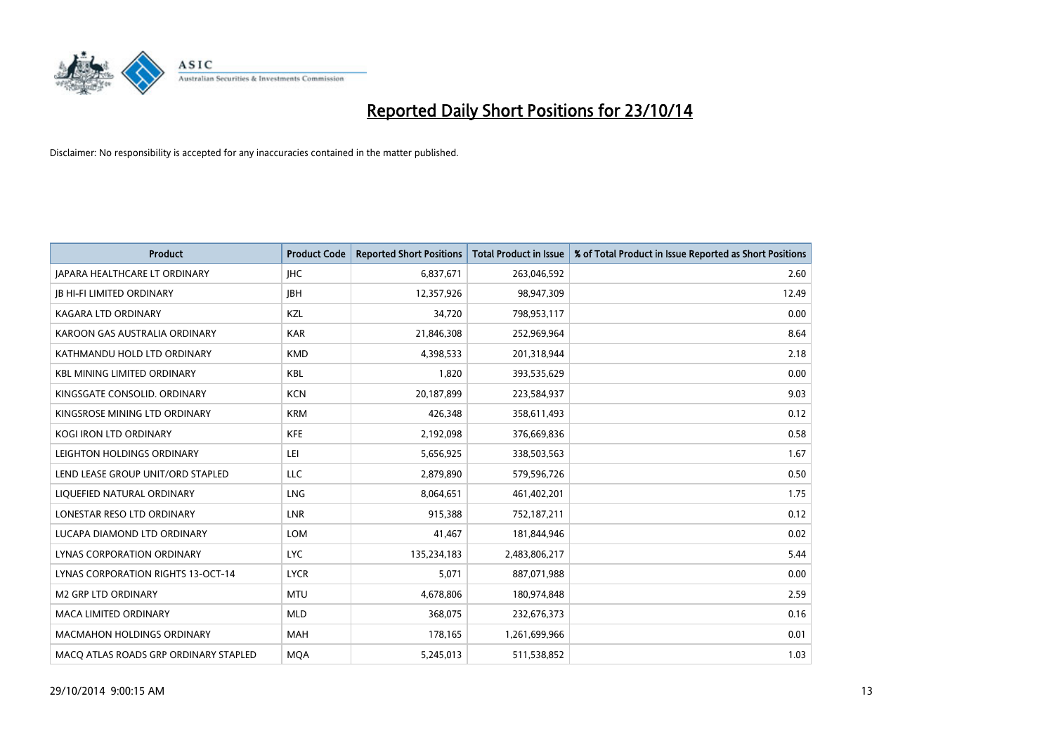

| <b>Product</b>                        | <b>Product Code</b> | <b>Reported Short Positions</b> | <b>Total Product in Issue</b> | % of Total Product in Issue Reported as Short Positions |
|---------------------------------------|---------------------|---------------------------------|-------------------------------|---------------------------------------------------------|
| <b>JAPARA HEALTHCARE LT ORDINARY</b>  | <b>IHC</b>          | 6,837,671                       | 263,046,592                   | 2.60                                                    |
| <b>JB HI-FI LIMITED ORDINARY</b>      | <b>IBH</b>          | 12,357,926                      | 98,947,309                    | 12.49                                                   |
| <b>KAGARA LTD ORDINARY</b>            | KZL                 | 34,720                          | 798,953,117                   | 0.00                                                    |
| KAROON GAS AUSTRALIA ORDINARY         | <b>KAR</b>          | 21,846,308                      | 252,969,964                   | 8.64                                                    |
| KATHMANDU HOLD LTD ORDINARY           | <b>KMD</b>          | 4,398,533                       | 201,318,944                   | 2.18                                                    |
| <b>KBL MINING LIMITED ORDINARY</b>    | <b>KBL</b>          | 1,820                           | 393,535,629                   | 0.00                                                    |
| KINGSGATE CONSOLID. ORDINARY          | <b>KCN</b>          | 20,187,899                      | 223,584,937                   | 9.03                                                    |
| KINGSROSE MINING LTD ORDINARY         | <b>KRM</b>          | 426,348                         | 358,611,493                   | 0.12                                                    |
| KOGI IRON LTD ORDINARY                | KFE                 | 2,192,098                       | 376,669,836                   | 0.58                                                    |
| LEIGHTON HOLDINGS ORDINARY            | LEI                 | 5,656,925                       | 338,503,563                   | 1.67                                                    |
| LEND LEASE GROUP UNIT/ORD STAPLED     | <b>LLC</b>          | 2,879,890                       | 579,596,726                   | 0.50                                                    |
| LIQUEFIED NATURAL ORDINARY            | LNG                 | 8,064,651                       | 461,402,201                   | 1.75                                                    |
| LONESTAR RESO LTD ORDINARY            | <b>LNR</b>          | 915,388                         | 752,187,211                   | 0.12                                                    |
| LUCAPA DIAMOND LTD ORDINARY           | <b>LOM</b>          | 41,467                          | 181,844,946                   | 0.02                                                    |
| LYNAS CORPORATION ORDINARY            | <b>LYC</b>          | 135,234,183                     | 2,483,806,217                 | 5.44                                                    |
| LYNAS CORPORATION RIGHTS 13-OCT-14    | <b>LYCR</b>         | 5,071                           | 887,071,988                   | 0.00                                                    |
| <b>M2 GRP LTD ORDINARY</b>            | <b>MTU</b>          | 4,678,806                       | 180,974,848                   | 2.59                                                    |
| <b>MACA LIMITED ORDINARY</b>          | <b>MLD</b>          | 368,075                         | 232,676,373                   | 0.16                                                    |
| <b>MACMAHON HOLDINGS ORDINARY</b>     | <b>MAH</b>          | 178,165                         | 1,261,699,966                 | 0.01                                                    |
| MACO ATLAS ROADS GRP ORDINARY STAPLED | <b>MQA</b>          | 5,245,013                       | 511,538,852                   | 1.03                                                    |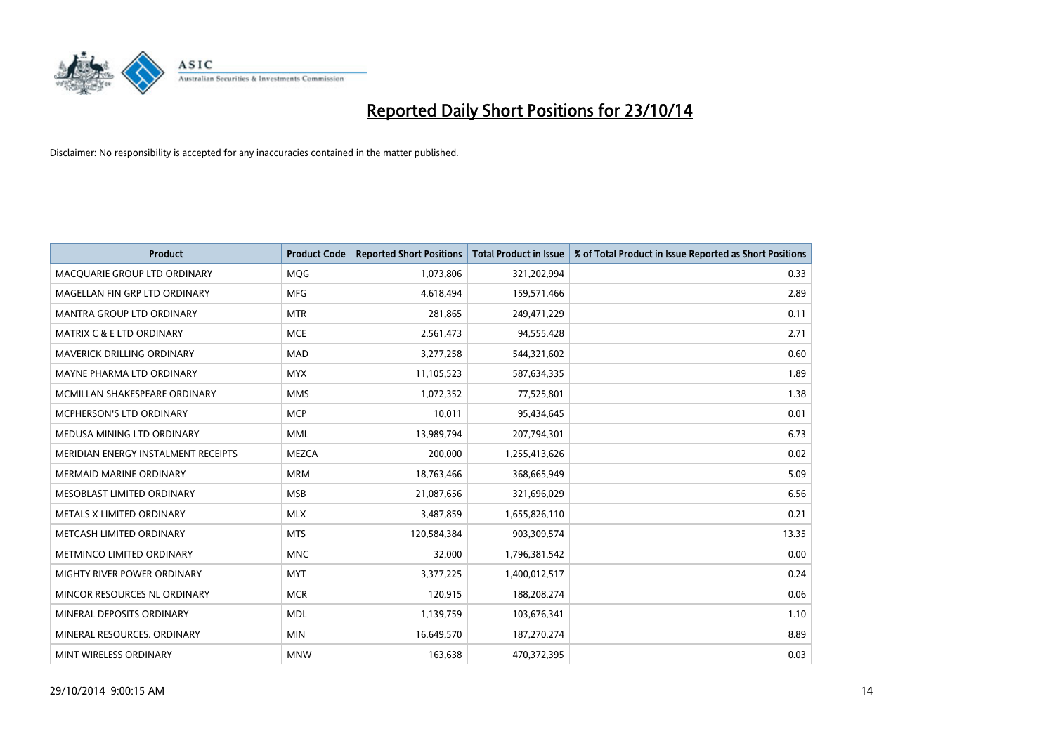

| <b>Product</b>                       | <b>Product Code</b> | <b>Reported Short Positions</b> | <b>Total Product in Issue</b> | % of Total Product in Issue Reported as Short Positions |
|--------------------------------------|---------------------|---------------------------------|-------------------------------|---------------------------------------------------------|
| MACOUARIE GROUP LTD ORDINARY         | MQG                 | 1,073,806                       | 321,202,994                   | 0.33                                                    |
| MAGELLAN FIN GRP LTD ORDINARY        | <b>MFG</b>          | 4,618,494                       | 159,571,466                   | 2.89                                                    |
| MANTRA GROUP LTD ORDINARY            | <b>MTR</b>          | 281,865                         | 249,471,229                   | 0.11                                                    |
| <b>MATRIX C &amp; E LTD ORDINARY</b> | <b>MCE</b>          | 2,561,473                       | 94,555,428                    | 2.71                                                    |
| <b>MAVERICK DRILLING ORDINARY</b>    | <b>MAD</b>          | 3,277,258                       | 544,321,602                   | 0.60                                                    |
| MAYNE PHARMA LTD ORDINARY            | <b>MYX</b>          | 11,105,523                      | 587,634,335                   | 1.89                                                    |
| MCMILLAN SHAKESPEARE ORDINARY        | <b>MMS</b>          | 1,072,352                       | 77,525,801                    | 1.38                                                    |
| MCPHERSON'S LTD ORDINARY             | <b>MCP</b>          | 10,011                          | 95,434,645                    | 0.01                                                    |
| MEDUSA MINING LTD ORDINARY           | <b>MML</b>          | 13,989,794                      | 207,794,301                   | 6.73                                                    |
| MERIDIAN ENERGY INSTALMENT RECEIPTS  | <b>MEZCA</b>        | 200,000                         | 1,255,413,626                 | 0.02                                                    |
| <b>MERMAID MARINE ORDINARY</b>       | <b>MRM</b>          | 18,763,466                      | 368,665,949                   | 5.09                                                    |
| MESOBLAST LIMITED ORDINARY           | <b>MSB</b>          | 21,087,656                      | 321,696,029                   | 6.56                                                    |
| METALS X LIMITED ORDINARY            | <b>MLX</b>          | 3,487,859                       | 1,655,826,110                 | 0.21                                                    |
| METCASH LIMITED ORDINARY             | <b>MTS</b>          | 120,584,384                     | 903,309,574                   | 13.35                                                   |
| METMINCO LIMITED ORDINARY            | <b>MNC</b>          | 32,000                          | 1,796,381,542                 | 0.00                                                    |
| MIGHTY RIVER POWER ORDINARY          | <b>MYT</b>          | 3,377,225                       | 1,400,012,517                 | 0.24                                                    |
| MINCOR RESOURCES NL ORDINARY         | <b>MCR</b>          | 120,915                         | 188,208,274                   | 0.06                                                    |
| MINERAL DEPOSITS ORDINARY            | <b>MDL</b>          | 1,139,759                       | 103,676,341                   | 1.10                                                    |
| MINERAL RESOURCES, ORDINARY          | <b>MIN</b>          | 16,649,570                      | 187,270,274                   | 8.89                                                    |
| MINT WIRELESS ORDINARY               | <b>MNW</b>          | 163,638                         | 470,372,395                   | 0.03                                                    |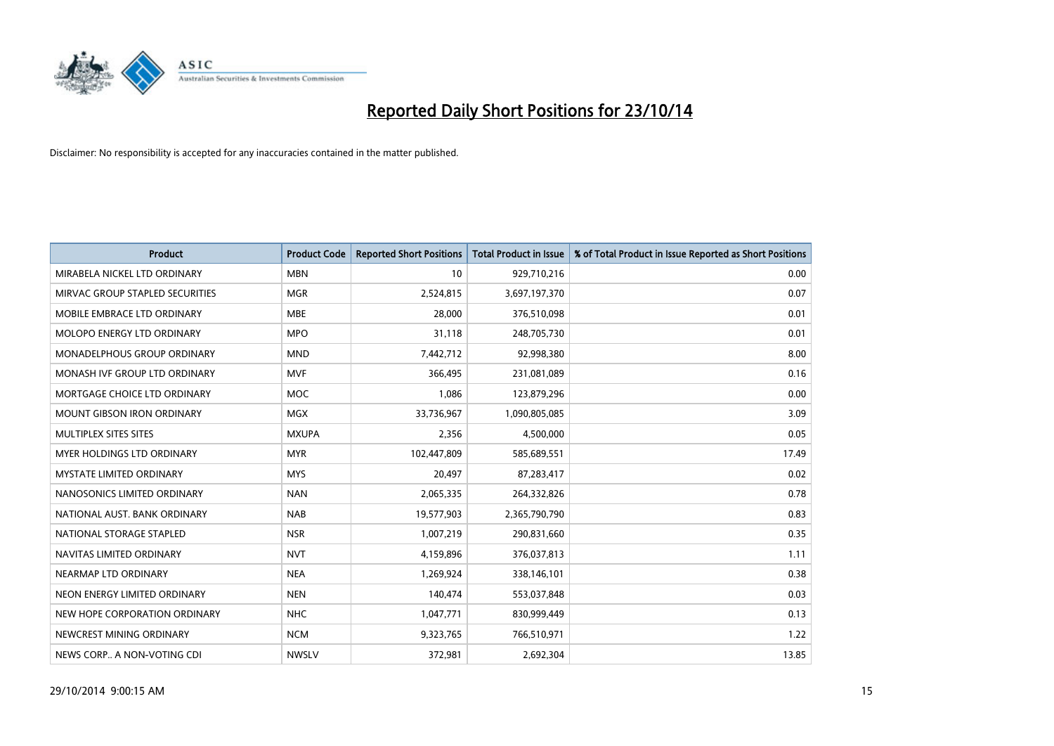

| Product                           | <b>Product Code</b> | <b>Reported Short Positions</b> | <b>Total Product in Issue</b> | % of Total Product in Issue Reported as Short Positions |
|-----------------------------------|---------------------|---------------------------------|-------------------------------|---------------------------------------------------------|
| MIRABELA NICKEL LTD ORDINARY      | <b>MBN</b>          | 10                              | 929,710,216                   | 0.00                                                    |
| MIRVAC GROUP STAPLED SECURITIES   | <b>MGR</b>          | 2,524,815                       | 3,697,197,370                 | 0.07                                                    |
| MOBILE EMBRACE LTD ORDINARY       | <b>MBE</b>          | 28,000                          | 376,510,098                   | 0.01                                                    |
| MOLOPO ENERGY LTD ORDINARY        | <b>MPO</b>          | 31,118                          | 248,705,730                   | 0.01                                                    |
| MONADELPHOUS GROUP ORDINARY       | <b>MND</b>          | 7,442,712                       | 92,998,380                    | 8.00                                                    |
| MONASH IVF GROUP LTD ORDINARY     | <b>MVF</b>          | 366,495                         | 231,081,089                   | 0.16                                                    |
| MORTGAGE CHOICE LTD ORDINARY      | <b>MOC</b>          | 1,086                           | 123,879,296                   | 0.00                                                    |
| <b>MOUNT GIBSON IRON ORDINARY</b> | <b>MGX</b>          | 33,736,967                      | 1,090,805,085                 | 3.09                                                    |
| MULTIPLEX SITES SITES             | <b>MXUPA</b>        | 2,356                           | 4,500,000                     | 0.05                                                    |
| MYER HOLDINGS LTD ORDINARY        | <b>MYR</b>          | 102,447,809                     | 585,689,551                   | 17.49                                                   |
| <b>MYSTATE LIMITED ORDINARY</b>   | <b>MYS</b>          | 20,497                          | 87,283,417                    | 0.02                                                    |
| NANOSONICS LIMITED ORDINARY       | <b>NAN</b>          | 2,065,335                       | 264,332,826                   | 0.78                                                    |
| NATIONAL AUST. BANK ORDINARY      | <b>NAB</b>          | 19,577,903                      | 2,365,790,790                 | 0.83                                                    |
| NATIONAL STORAGE STAPLED          | <b>NSR</b>          | 1,007,219                       | 290,831,660                   | 0.35                                                    |
| NAVITAS LIMITED ORDINARY          | <b>NVT</b>          | 4,159,896                       | 376,037,813                   | 1.11                                                    |
| NEARMAP LTD ORDINARY              | <b>NEA</b>          | 1,269,924                       | 338,146,101                   | 0.38                                                    |
| NEON ENERGY LIMITED ORDINARY      | <b>NEN</b>          | 140,474                         | 553,037,848                   | 0.03                                                    |
| NEW HOPE CORPORATION ORDINARY     | <b>NHC</b>          | 1,047,771                       | 830,999,449                   | 0.13                                                    |
| NEWCREST MINING ORDINARY          | <b>NCM</b>          | 9,323,765                       | 766,510,971                   | 1.22                                                    |
| NEWS CORP A NON-VOTING CDI        | <b>NWSLV</b>        | 372,981                         | 2,692,304                     | 13.85                                                   |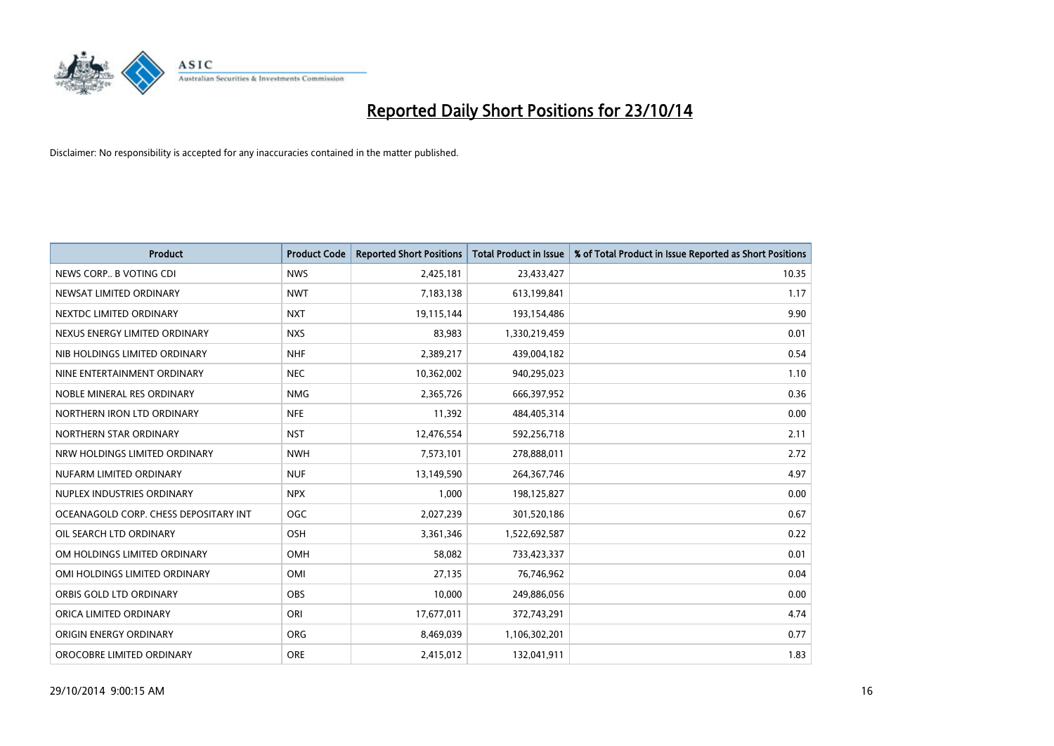

| <b>Product</b>                        | <b>Product Code</b> | <b>Reported Short Positions</b> | <b>Total Product in Issue</b> | % of Total Product in Issue Reported as Short Positions |
|---------------------------------------|---------------------|---------------------------------|-------------------------------|---------------------------------------------------------|
| NEWS CORP B VOTING CDI                | <b>NWS</b>          | 2,425,181                       | 23,433,427                    | 10.35                                                   |
| NEWSAT LIMITED ORDINARY               | <b>NWT</b>          | 7,183,138                       | 613,199,841                   | 1.17                                                    |
| NEXTDC LIMITED ORDINARY               | <b>NXT</b>          | 19,115,144                      | 193,154,486                   | 9.90                                                    |
| NEXUS ENERGY LIMITED ORDINARY         | <b>NXS</b>          | 83,983                          | 1,330,219,459                 | 0.01                                                    |
| NIB HOLDINGS LIMITED ORDINARY         | <b>NHF</b>          | 2,389,217                       | 439,004,182                   | 0.54                                                    |
| NINE ENTERTAINMENT ORDINARY           | <b>NEC</b>          | 10,362,002                      | 940,295,023                   | 1.10                                                    |
| NOBLE MINERAL RES ORDINARY            | <b>NMG</b>          | 2,365,726                       | 666,397,952                   | 0.36                                                    |
| NORTHERN IRON LTD ORDINARY            | <b>NFE</b>          | 11,392                          | 484,405,314                   | 0.00                                                    |
| NORTHERN STAR ORDINARY                | <b>NST</b>          | 12,476,554                      | 592,256,718                   | 2.11                                                    |
| NRW HOLDINGS LIMITED ORDINARY         | <b>NWH</b>          | 7,573,101                       | 278,888,011                   | 2.72                                                    |
| NUFARM LIMITED ORDINARY               | <b>NUF</b>          | 13,149,590                      | 264,367,746                   | 4.97                                                    |
| NUPLEX INDUSTRIES ORDINARY            | <b>NPX</b>          | 1,000                           | 198,125,827                   | 0.00                                                    |
| OCEANAGOLD CORP. CHESS DEPOSITARY INT | <b>OGC</b>          | 2,027,239                       | 301,520,186                   | 0.67                                                    |
| OIL SEARCH LTD ORDINARY               | OSH                 | 3,361,346                       | 1,522,692,587                 | 0.22                                                    |
| OM HOLDINGS LIMITED ORDINARY          | OMH                 | 58,082                          | 733,423,337                   | 0.01                                                    |
| OMI HOLDINGS LIMITED ORDINARY         | OMI                 | 27,135                          | 76,746,962                    | 0.04                                                    |
| ORBIS GOLD LTD ORDINARY               | OBS                 | 10,000                          | 249,886,056                   | 0.00                                                    |
| ORICA LIMITED ORDINARY                | ORI                 | 17,677,011                      | 372,743,291                   | 4.74                                                    |
| ORIGIN ENERGY ORDINARY                | <b>ORG</b>          | 8,469,039                       | 1,106,302,201                 | 0.77                                                    |
| OROCOBRE LIMITED ORDINARY             | <b>ORE</b>          | 2,415,012                       | 132,041,911                   | 1.83                                                    |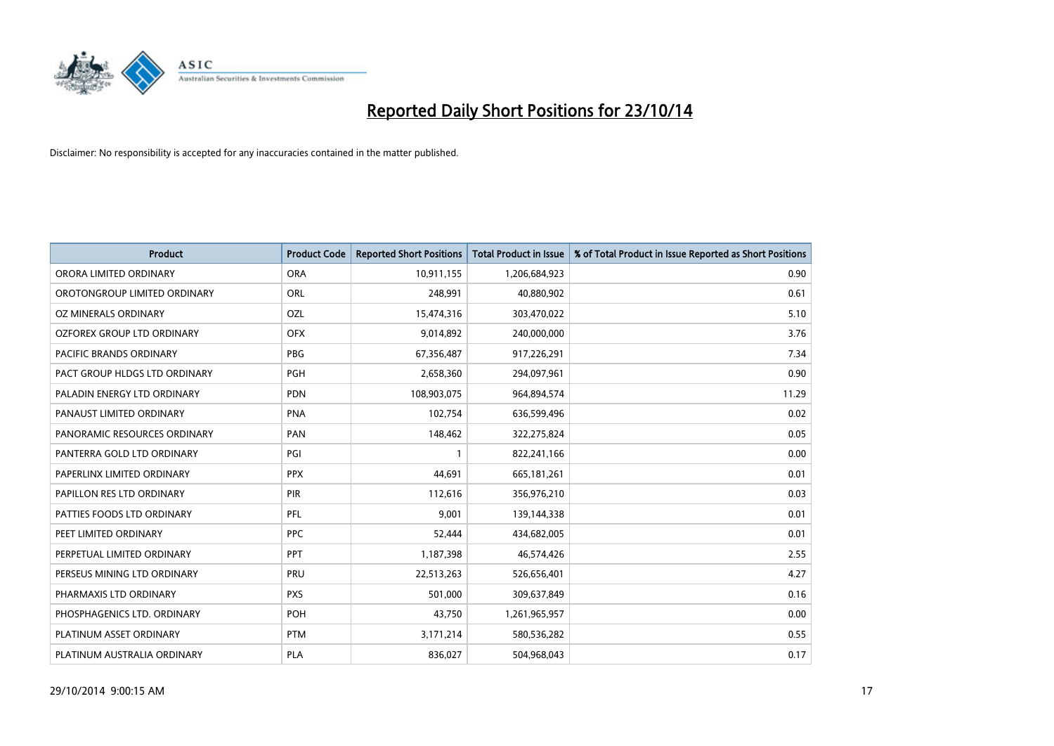

| <b>Product</b>                 | <b>Product Code</b> | <b>Reported Short Positions</b> | <b>Total Product in Issue</b> | % of Total Product in Issue Reported as Short Positions |
|--------------------------------|---------------------|---------------------------------|-------------------------------|---------------------------------------------------------|
| ORORA LIMITED ORDINARY         | <b>ORA</b>          | 10,911,155                      | 1,206,684,923                 | 0.90                                                    |
| OROTONGROUP LIMITED ORDINARY   | ORL                 | 248,991                         | 40,880,902                    | 0.61                                                    |
| OZ MINERALS ORDINARY           | OZL                 | 15,474,316                      | 303,470,022                   | 5.10                                                    |
| OZFOREX GROUP LTD ORDINARY     | <b>OFX</b>          | 9,014,892                       | 240,000,000                   | 3.76                                                    |
| <b>PACIFIC BRANDS ORDINARY</b> | <b>PBG</b>          | 67,356,487                      | 917,226,291                   | 7.34                                                    |
| PACT GROUP HLDGS LTD ORDINARY  | <b>PGH</b>          | 2,658,360                       | 294,097,961                   | 0.90                                                    |
| PALADIN ENERGY LTD ORDINARY    | <b>PDN</b>          | 108,903,075                     | 964,894,574                   | 11.29                                                   |
| PANAUST LIMITED ORDINARY       | <b>PNA</b>          | 102,754                         | 636,599,496                   | 0.02                                                    |
| PANORAMIC RESOURCES ORDINARY   | PAN                 | 148,462                         | 322,275,824                   | 0.05                                                    |
| PANTERRA GOLD LTD ORDINARY     | PGI                 | $\mathbf{1}$                    | 822,241,166                   | 0.00                                                    |
| PAPERLINX LIMITED ORDINARY     | <b>PPX</b>          | 44,691                          | 665,181,261                   | 0.01                                                    |
| PAPILLON RES LTD ORDINARY      | PIR                 | 112,616                         | 356,976,210                   | 0.03                                                    |
| PATTIES FOODS LTD ORDINARY     | PFL                 | 9,001                           | 139,144,338                   | 0.01                                                    |
| PEET LIMITED ORDINARY          | <b>PPC</b>          | 52,444                          | 434,682,005                   | 0.01                                                    |
| PERPETUAL LIMITED ORDINARY     | <b>PPT</b>          | 1,187,398                       | 46,574,426                    | 2.55                                                    |
| PERSEUS MINING LTD ORDINARY    | PRU                 | 22,513,263                      | 526,656,401                   | 4.27                                                    |
| PHARMAXIS LTD ORDINARY         | <b>PXS</b>          | 501,000                         | 309,637,849                   | 0.16                                                    |
| PHOSPHAGENICS LTD. ORDINARY    | <b>POH</b>          | 43,750                          | 1,261,965,957                 | 0.00                                                    |
| PLATINUM ASSET ORDINARY        | <b>PTM</b>          | 3,171,214                       | 580,536,282                   | 0.55                                                    |
| PLATINUM AUSTRALIA ORDINARY    | <b>PLA</b>          | 836,027                         | 504,968,043                   | 0.17                                                    |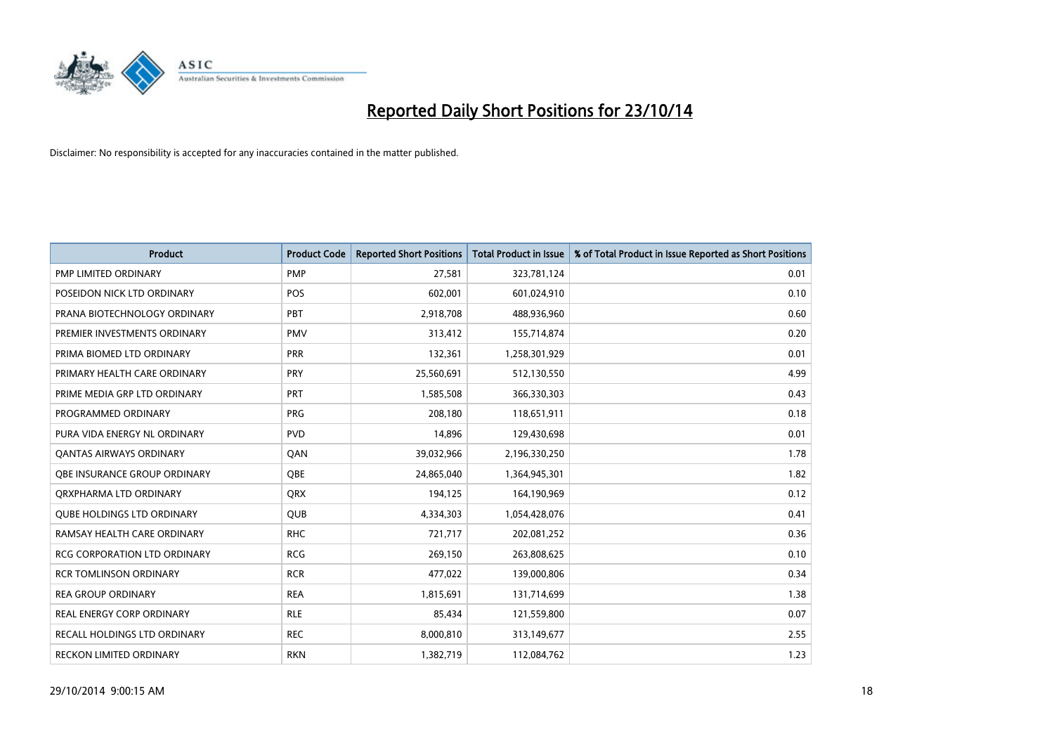

| <b>Product</b>                      | <b>Product Code</b> | <b>Reported Short Positions</b> | <b>Total Product in Issue</b> | % of Total Product in Issue Reported as Short Positions |
|-------------------------------------|---------------------|---------------------------------|-------------------------------|---------------------------------------------------------|
| PMP LIMITED ORDINARY                | <b>PMP</b>          | 27,581                          | 323,781,124                   | 0.01                                                    |
| POSEIDON NICK LTD ORDINARY          | <b>POS</b>          | 602,001                         | 601,024,910                   | 0.10                                                    |
| PRANA BIOTECHNOLOGY ORDINARY        | PBT                 | 2,918,708                       | 488,936,960                   | 0.60                                                    |
| PREMIER INVESTMENTS ORDINARY        | <b>PMV</b>          | 313,412                         | 155,714,874                   | 0.20                                                    |
| PRIMA BIOMED LTD ORDINARY           | <b>PRR</b>          | 132,361                         | 1,258,301,929                 | 0.01                                                    |
| PRIMARY HEALTH CARE ORDINARY        | PRY                 | 25,560,691                      | 512,130,550                   | 4.99                                                    |
| PRIME MEDIA GRP LTD ORDINARY        | <b>PRT</b>          | 1,585,508                       | 366,330,303                   | 0.43                                                    |
| PROGRAMMED ORDINARY                 | <b>PRG</b>          | 208,180                         | 118,651,911                   | 0.18                                                    |
| PURA VIDA ENERGY NL ORDINARY        | <b>PVD</b>          | 14.896                          | 129,430,698                   | 0.01                                                    |
| <b>QANTAS AIRWAYS ORDINARY</b>      | QAN                 | 39,032,966                      | 2,196,330,250                 | 1.78                                                    |
| OBE INSURANCE GROUP ORDINARY        | <b>OBE</b>          | 24,865,040                      | 1,364,945,301                 | 1.82                                                    |
| QRXPHARMA LTD ORDINARY              | QRX                 | 194,125                         | 164,190,969                   | 0.12                                                    |
| <b>QUBE HOLDINGS LTD ORDINARY</b>   | <b>QUB</b>          | 4,334,303                       | 1,054,428,076                 | 0.41                                                    |
| RAMSAY HEALTH CARE ORDINARY         | <b>RHC</b>          | 721,717                         | 202,081,252                   | 0.36                                                    |
| <b>RCG CORPORATION LTD ORDINARY</b> | <b>RCG</b>          | 269,150                         | 263,808,625                   | 0.10                                                    |
| <b>RCR TOMLINSON ORDINARY</b>       | <b>RCR</b>          | 477,022                         | 139,000,806                   | 0.34                                                    |
| <b>REA GROUP ORDINARY</b>           | <b>REA</b>          | 1,815,691                       | 131,714,699                   | 1.38                                                    |
| <b>REAL ENERGY CORP ORDINARY</b>    | <b>RLE</b>          | 85,434                          | 121,559,800                   | 0.07                                                    |
| <b>RECALL HOLDINGS LTD ORDINARY</b> | <b>REC</b>          | 8,000,810                       | 313,149,677                   | 2.55                                                    |
| <b>RECKON LIMITED ORDINARY</b>      | <b>RKN</b>          | 1,382,719                       | 112,084,762                   | 1.23                                                    |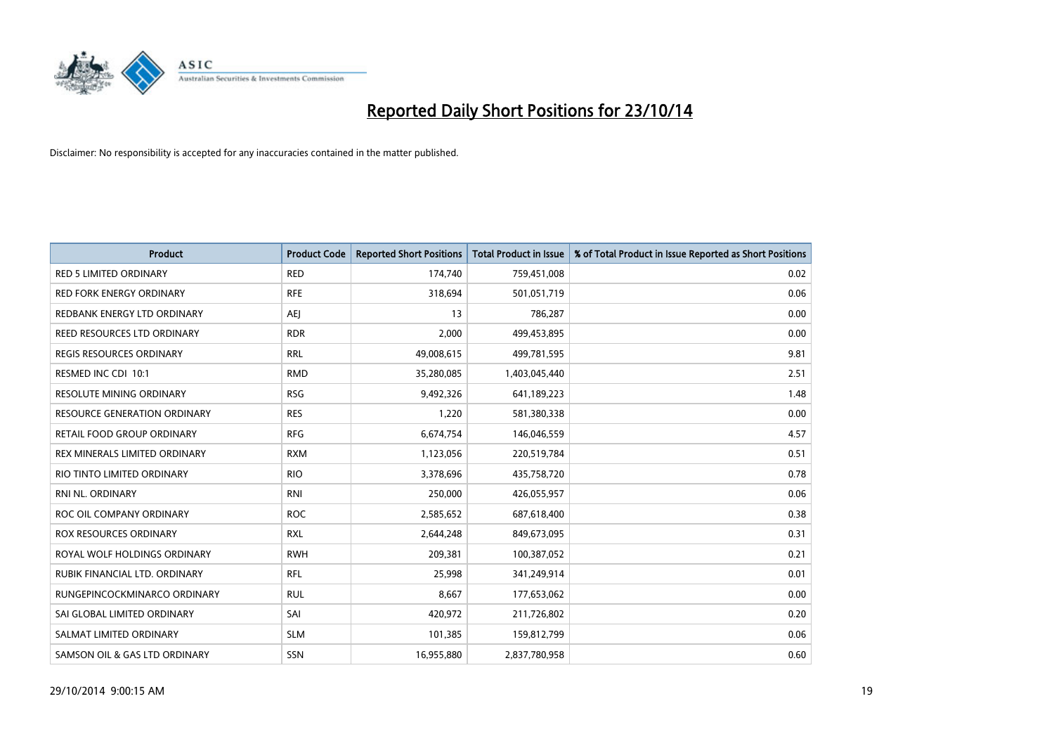

| <b>Product</b>                    | <b>Product Code</b> | <b>Reported Short Positions</b> | <b>Total Product in Issue</b> | % of Total Product in Issue Reported as Short Positions |
|-----------------------------------|---------------------|---------------------------------|-------------------------------|---------------------------------------------------------|
| <b>RED 5 LIMITED ORDINARY</b>     | <b>RED</b>          | 174,740                         | 759,451,008                   | 0.02                                                    |
| <b>RED FORK ENERGY ORDINARY</b>   | <b>RFE</b>          | 318,694                         | 501,051,719                   | 0.06                                                    |
| REDBANK ENERGY LTD ORDINARY       | AEJ                 | 13                              | 786,287                       | 0.00                                                    |
| REED RESOURCES LTD ORDINARY       | <b>RDR</b>          | 2,000                           | 499,453,895                   | 0.00                                                    |
| <b>REGIS RESOURCES ORDINARY</b>   | <b>RRL</b>          | 49,008,615                      | 499,781,595                   | 9.81                                                    |
| RESMED INC CDI 10:1               | <b>RMD</b>          | 35,280,085                      | 1,403,045,440                 | 2.51                                                    |
| <b>RESOLUTE MINING ORDINARY</b>   | <b>RSG</b>          | 9,492,326                       | 641,189,223                   | 1.48                                                    |
| RESOURCE GENERATION ORDINARY      | <b>RES</b>          | 1,220                           | 581,380,338                   | 0.00                                                    |
| <b>RETAIL FOOD GROUP ORDINARY</b> | <b>RFG</b>          | 6,674,754                       | 146,046,559                   | 4.57                                                    |
| REX MINERALS LIMITED ORDINARY     | <b>RXM</b>          | 1,123,056                       | 220,519,784                   | 0.51                                                    |
| RIO TINTO LIMITED ORDINARY        | <b>RIO</b>          | 3,378,696                       | 435,758,720                   | 0.78                                                    |
| RNI NL. ORDINARY                  | <b>RNI</b>          | 250,000                         | 426,055,957                   | 0.06                                                    |
| ROC OIL COMPANY ORDINARY          | <b>ROC</b>          | 2,585,652                       | 687,618,400                   | 0.38                                                    |
| <b>ROX RESOURCES ORDINARY</b>     | <b>RXL</b>          | 2,644,248                       | 849,673,095                   | 0.31                                                    |
| ROYAL WOLF HOLDINGS ORDINARY      | <b>RWH</b>          | 209,381                         | 100,387,052                   | 0.21                                                    |
| RUBIK FINANCIAL LTD. ORDINARY     | RFL                 | 25,998                          | 341,249,914                   | 0.01                                                    |
| RUNGEPINCOCKMINARCO ORDINARY      | <b>RUL</b>          | 8,667                           | 177,653,062                   | 0.00                                                    |
| SAI GLOBAL LIMITED ORDINARY       | SAI                 | 420,972                         | 211,726,802                   | 0.20                                                    |
| SALMAT LIMITED ORDINARY           | <b>SLM</b>          | 101,385                         | 159,812,799                   | 0.06                                                    |
| SAMSON OIL & GAS LTD ORDINARY     | SSN                 | 16,955,880                      | 2,837,780,958                 | 0.60                                                    |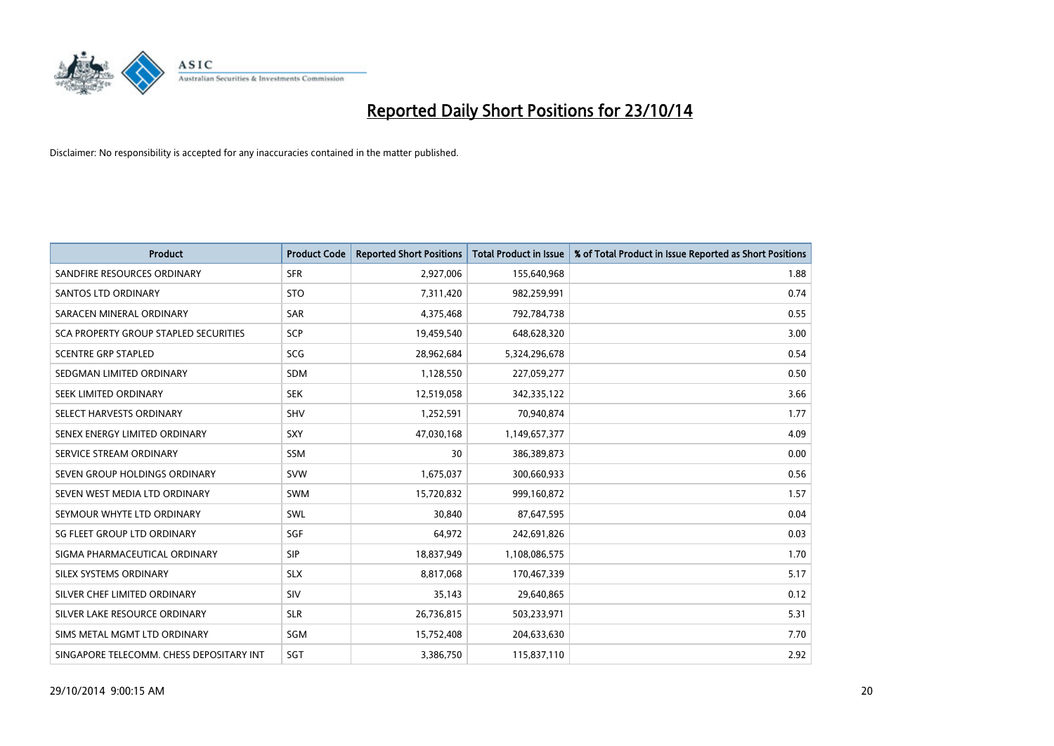

| <b>Product</b>                           | <b>Product Code</b> | <b>Reported Short Positions</b> | <b>Total Product in Issue</b> | % of Total Product in Issue Reported as Short Positions |
|------------------------------------------|---------------------|---------------------------------|-------------------------------|---------------------------------------------------------|
| SANDFIRE RESOURCES ORDINARY              | <b>SFR</b>          | 2,927,006                       | 155,640,968                   | 1.88                                                    |
| SANTOS LTD ORDINARY                      | <b>STO</b>          | 7,311,420                       | 982,259,991                   | 0.74                                                    |
| SARACEN MINERAL ORDINARY                 | <b>SAR</b>          | 4,375,468                       | 792,784,738                   | 0.55                                                    |
| SCA PROPERTY GROUP STAPLED SECURITIES    | <b>SCP</b>          | 19,459,540                      | 648,628,320                   | 3.00                                                    |
| <b>SCENTRE GRP STAPLED</b>               | <b>SCG</b>          | 28,962,684                      | 5,324,296,678                 | 0.54                                                    |
| SEDGMAN LIMITED ORDINARY                 | <b>SDM</b>          | 1,128,550                       | 227,059,277                   | 0.50                                                    |
| SEEK LIMITED ORDINARY                    | <b>SEK</b>          | 12,519,058                      | 342,335,122                   | 3.66                                                    |
| SELECT HARVESTS ORDINARY                 | <b>SHV</b>          | 1,252,591                       | 70,940,874                    | 1.77                                                    |
| SENEX ENERGY LIMITED ORDINARY            | <b>SXY</b>          | 47,030,168                      | 1,149,657,377                 | 4.09                                                    |
| SERVICE STREAM ORDINARY                  | <b>SSM</b>          | 30                              | 386,389,873                   | 0.00                                                    |
| SEVEN GROUP HOLDINGS ORDINARY            | <b>SVW</b>          | 1,675,037                       | 300,660,933                   | 0.56                                                    |
| SEVEN WEST MEDIA LTD ORDINARY            | <b>SWM</b>          | 15,720,832                      | 999,160,872                   | 1.57                                                    |
| SEYMOUR WHYTE LTD ORDINARY               | SWL                 | 30,840                          | 87,647,595                    | 0.04                                                    |
| SG FLEET GROUP LTD ORDINARY              | SGF                 | 64,972                          | 242,691,826                   | 0.03                                                    |
| SIGMA PHARMACEUTICAL ORDINARY            | <b>SIP</b>          | 18,837,949                      | 1,108,086,575                 | 1.70                                                    |
| SILEX SYSTEMS ORDINARY                   | <b>SLX</b>          | 8,817,068                       | 170,467,339                   | 5.17                                                    |
| SILVER CHEF LIMITED ORDINARY             | SIV                 | 35,143                          | 29,640,865                    | 0.12                                                    |
| SILVER LAKE RESOURCE ORDINARY            | <b>SLR</b>          | 26,736,815                      | 503,233,971                   | 5.31                                                    |
| SIMS METAL MGMT LTD ORDINARY             | SGM                 | 15,752,408                      | 204,633,630                   | 7.70                                                    |
| SINGAPORE TELECOMM. CHESS DEPOSITARY INT | SGT                 | 3,386,750                       | 115,837,110                   | 2.92                                                    |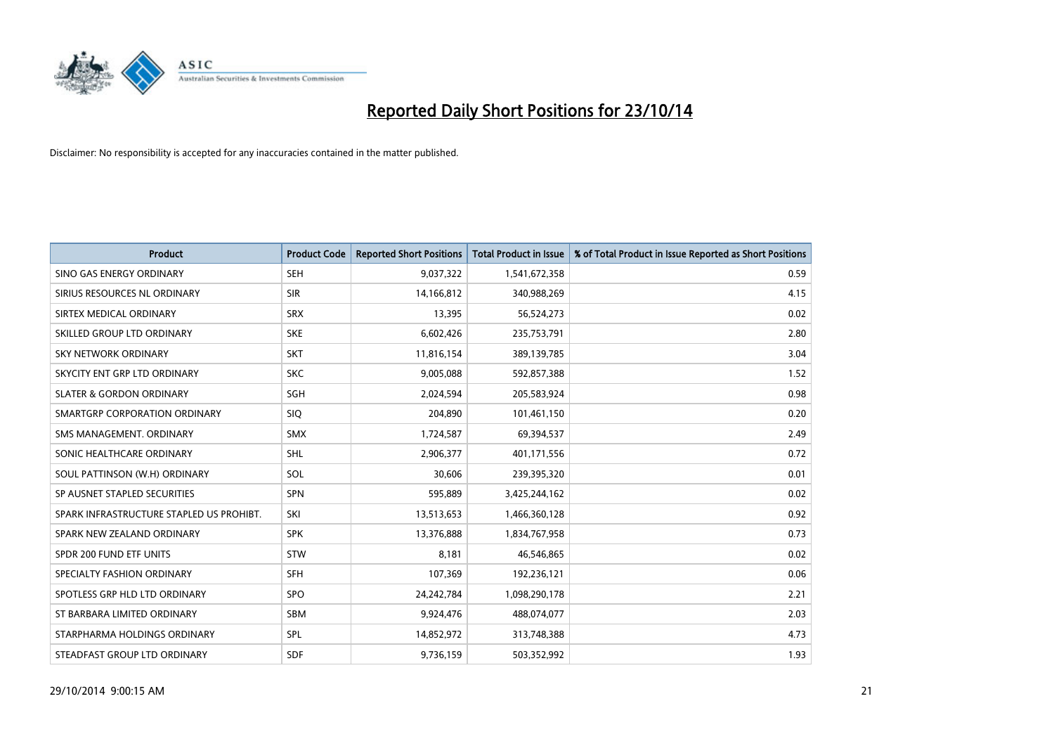

| <b>Product</b>                           | <b>Product Code</b> | <b>Reported Short Positions</b> | <b>Total Product in Issue</b> | % of Total Product in Issue Reported as Short Positions |
|------------------------------------------|---------------------|---------------------------------|-------------------------------|---------------------------------------------------------|
| SINO GAS ENERGY ORDINARY                 | <b>SEH</b>          | 9,037,322                       | 1,541,672,358                 | 0.59                                                    |
| SIRIUS RESOURCES NL ORDINARY             | <b>SIR</b>          | 14,166,812                      | 340,988,269                   | 4.15                                                    |
| SIRTEX MEDICAL ORDINARY                  | <b>SRX</b>          | 13,395                          | 56,524,273                    | 0.02                                                    |
| SKILLED GROUP LTD ORDINARY               | <b>SKE</b>          | 6,602,426                       | 235,753,791                   | 2.80                                                    |
| <b>SKY NETWORK ORDINARY</b>              | <b>SKT</b>          | 11,816,154                      | 389,139,785                   | 3.04                                                    |
| SKYCITY ENT GRP LTD ORDINARY             | <b>SKC</b>          | 9,005,088                       | 592,857,388                   | 1.52                                                    |
| <b>SLATER &amp; GORDON ORDINARY</b>      | SGH                 | 2,024,594                       | 205,583,924                   | 0.98                                                    |
| SMARTGRP CORPORATION ORDINARY            | <b>SIQ</b>          | 204,890                         | 101,461,150                   | 0.20                                                    |
| SMS MANAGEMENT, ORDINARY                 | <b>SMX</b>          | 1,724,587                       | 69,394,537                    | 2.49                                                    |
| SONIC HEALTHCARE ORDINARY                | <b>SHL</b>          | 2,906,377                       | 401,171,556                   | 0.72                                                    |
| SOUL PATTINSON (W.H) ORDINARY            | SOL                 | 30,606                          | 239,395,320                   | 0.01                                                    |
| SP AUSNET STAPLED SECURITIES             | <b>SPN</b>          | 595,889                         | 3,425,244,162                 | 0.02                                                    |
| SPARK INFRASTRUCTURE STAPLED US PROHIBT. | SKI                 | 13,513,653                      | 1,466,360,128                 | 0.92                                                    |
| SPARK NEW ZEALAND ORDINARY               | <b>SPK</b>          | 13,376,888                      | 1,834,767,958                 | 0.73                                                    |
| SPDR 200 FUND ETF UNITS                  | STW                 | 8,181                           | 46,546,865                    | 0.02                                                    |
| SPECIALTY FASHION ORDINARY               | <b>SFH</b>          | 107,369                         | 192,236,121                   | 0.06                                                    |
| SPOTLESS GRP HLD LTD ORDINARY            | <b>SPO</b>          | 24, 242, 784                    | 1,098,290,178                 | 2.21                                                    |
| ST BARBARA LIMITED ORDINARY              | <b>SBM</b>          | 9,924,476                       | 488,074,077                   | 2.03                                                    |
| STARPHARMA HOLDINGS ORDINARY             | SPL                 | 14,852,972                      | 313,748,388                   | 4.73                                                    |
| STEADFAST GROUP LTD ORDINARY             | <b>SDF</b>          | 9,736,159                       | 503,352,992                   | 1.93                                                    |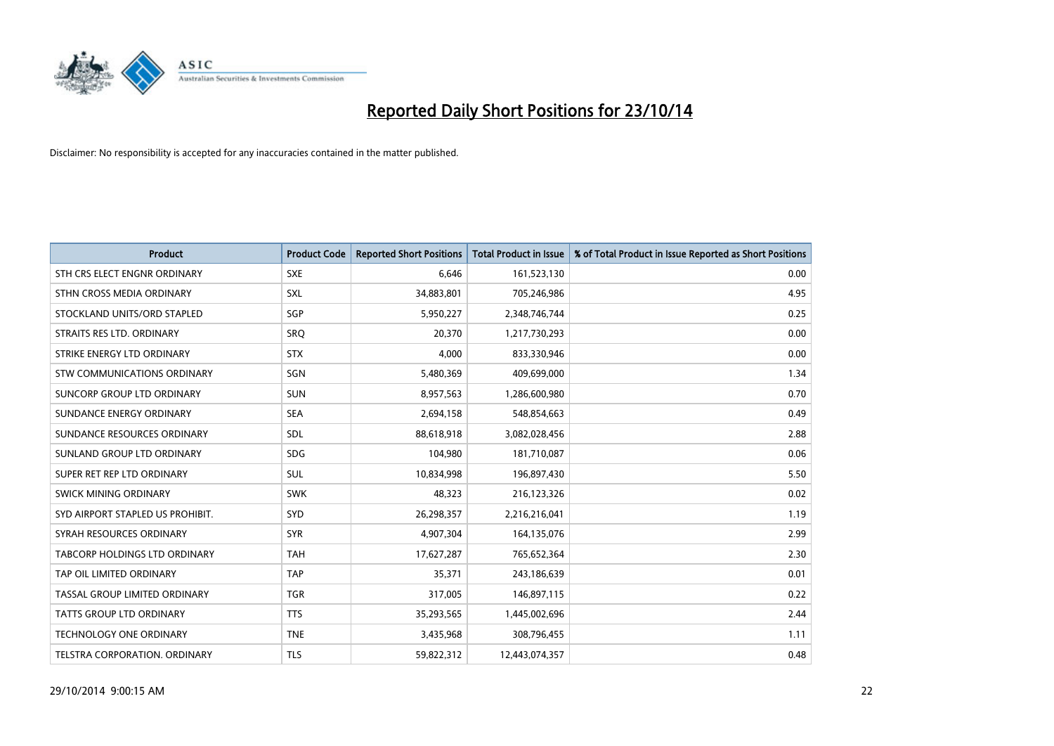

| <b>Product</b>                   | <b>Product Code</b> | <b>Reported Short Positions</b> | <b>Total Product in Issue</b> | % of Total Product in Issue Reported as Short Positions |
|----------------------------------|---------------------|---------------------------------|-------------------------------|---------------------------------------------------------|
| STH CRS ELECT ENGNR ORDINARY     | <b>SXE</b>          | 6,646                           | 161,523,130                   | 0.00                                                    |
| STHN CROSS MEDIA ORDINARY        | SXL                 | 34,883,801                      | 705,246,986                   | 4.95                                                    |
| STOCKLAND UNITS/ORD STAPLED      | SGP                 | 5,950,227                       | 2,348,746,744                 | 0.25                                                    |
| STRAITS RES LTD. ORDINARY        | SRO                 | 20,370                          | 1,217,730,293                 | 0.00                                                    |
| STRIKE ENERGY LTD ORDINARY       | <b>STX</b>          | 4,000                           | 833,330,946                   | 0.00                                                    |
| STW COMMUNICATIONS ORDINARY      | SGN                 | 5,480,369                       | 409,699,000                   | 1.34                                                    |
| SUNCORP GROUP LTD ORDINARY       | <b>SUN</b>          | 8,957,563                       | 1,286,600,980                 | 0.70                                                    |
| SUNDANCE ENERGY ORDINARY         | <b>SEA</b>          | 2,694,158                       | 548,854,663                   | 0.49                                                    |
| SUNDANCE RESOURCES ORDINARY      | SDL                 | 88,618,918                      | 3,082,028,456                 | 2.88                                                    |
| SUNLAND GROUP LTD ORDINARY       | <b>SDG</b>          | 104,980                         | 181,710,087                   | 0.06                                                    |
| SUPER RET REP LTD ORDINARY       | <b>SUL</b>          | 10,834,998                      | 196,897,430                   | 5.50                                                    |
| <b>SWICK MINING ORDINARY</b>     | <b>SWK</b>          | 48,323                          | 216,123,326                   | 0.02                                                    |
| SYD AIRPORT STAPLED US PROHIBIT. | <b>SYD</b>          | 26,298,357                      | 2,216,216,041                 | 1.19                                                    |
| SYRAH RESOURCES ORDINARY         | <b>SYR</b>          | 4,907,304                       | 164,135,076                   | 2.99                                                    |
| TABCORP HOLDINGS LTD ORDINARY    | <b>TAH</b>          | 17,627,287                      | 765,652,364                   | 2.30                                                    |
| TAP OIL LIMITED ORDINARY         | <b>TAP</b>          | 35,371                          | 243,186,639                   | 0.01                                                    |
| TASSAL GROUP LIMITED ORDINARY    | <b>TGR</b>          | 317,005                         | 146,897,115                   | 0.22                                                    |
| TATTS GROUP LTD ORDINARY         | <b>TTS</b>          | 35,293,565                      | 1,445,002,696                 | 2.44                                                    |
| <b>TECHNOLOGY ONE ORDINARY</b>   | <b>TNE</b>          | 3,435,968                       | 308,796,455                   | 1.11                                                    |
| TELSTRA CORPORATION, ORDINARY    | <b>TLS</b>          | 59,822,312                      | 12,443,074,357                | 0.48                                                    |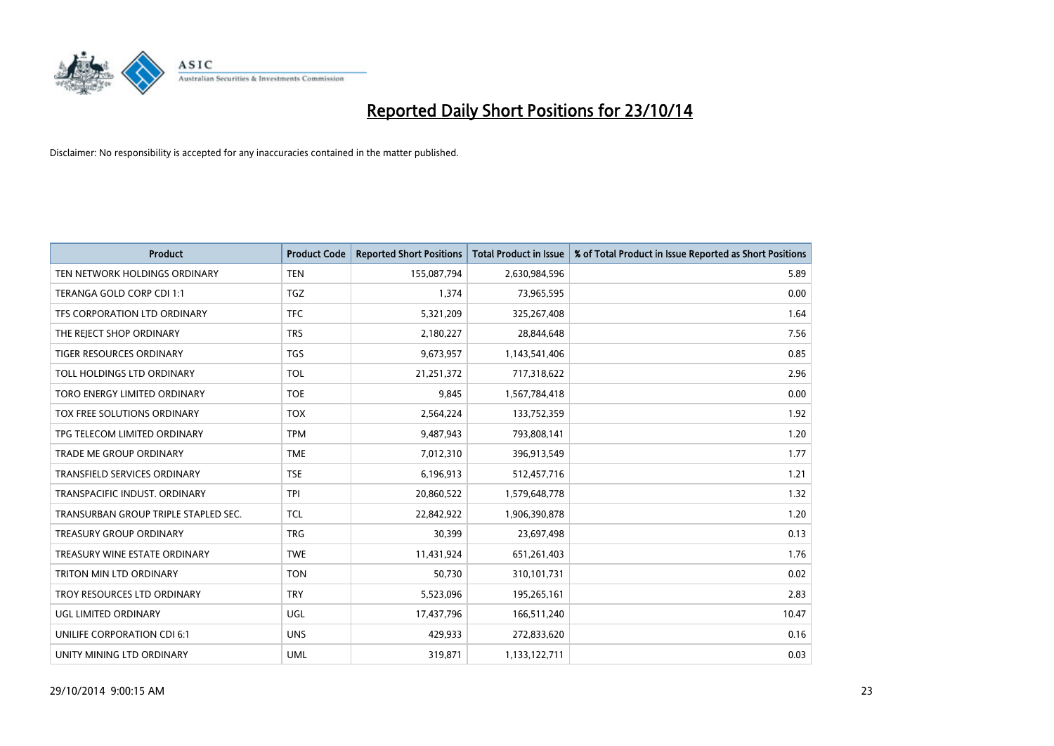

| <b>Product</b>                       | <b>Product Code</b> | <b>Reported Short Positions</b> | <b>Total Product in Issue</b> | % of Total Product in Issue Reported as Short Positions |
|--------------------------------------|---------------------|---------------------------------|-------------------------------|---------------------------------------------------------|
| TEN NETWORK HOLDINGS ORDINARY        | <b>TEN</b>          | 155,087,794                     | 2,630,984,596                 | 5.89                                                    |
| TERANGA GOLD CORP CDI 1:1            | TGZ                 | 1,374                           | 73,965,595                    | 0.00                                                    |
| TFS CORPORATION LTD ORDINARY         | <b>TFC</b>          | 5,321,209                       | 325,267,408                   | 1.64                                                    |
| THE REJECT SHOP ORDINARY             | <b>TRS</b>          | 2,180,227                       | 28,844,648                    | 7.56                                                    |
| <b>TIGER RESOURCES ORDINARY</b>      | <b>TGS</b>          | 9,673,957                       | 1,143,541,406                 | 0.85                                                    |
| TOLL HOLDINGS LTD ORDINARY           | <b>TOL</b>          | 21,251,372                      | 717,318,622                   | 2.96                                                    |
| TORO ENERGY LIMITED ORDINARY         | <b>TOE</b>          | 9,845                           | 1,567,784,418                 | 0.00                                                    |
| TOX FREE SOLUTIONS ORDINARY          | <b>TOX</b>          | 2,564,224                       | 133,752,359                   | 1.92                                                    |
| TPG TELECOM LIMITED ORDINARY         | <b>TPM</b>          | 9,487,943                       | 793,808,141                   | 1.20                                                    |
| <b>TRADE ME GROUP ORDINARY</b>       | <b>TME</b>          | 7,012,310                       | 396,913,549                   | 1.77                                                    |
| TRANSFIELD SERVICES ORDINARY         | <b>TSE</b>          | 6,196,913                       | 512,457,716                   | 1.21                                                    |
| TRANSPACIFIC INDUST, ORDINARY        | <b>TPI</b>          | 20,860,522                      | 1,579,648,778                 | 1.32                                                    |
| TRANSURBAN GROUP TRIPLE STAPLED SEC. | <b>TCL</b>          | 22,842,922                      | 1,906,390,878                 | 1.20                                                    |
| <b>TREASURY GROUP ORDINARY</b>       | <b>TRG</b>          | 30,399                          | 23,697,498                    | 0.13                                                    |
| TREASURY WINE ESTATE ORDINARY        | <b>TWE</b>          | 11,431,924                      | 651,261,403                   | 1.76                                                    |
| TRITON MIN LTD ORDINARY              | <b>TON</b>          | 50,730                          | 310,101,731                   | 0.02                                                    |
| TROY RESOURCES LTD ORDINARY          | <b>TRY</b>          | 5,523,096                       | 195,265,161                   | 2.83                                                    |
| UGL LIMITED ORDINARY                 | UGL                 | 17,437,796                      | 166,511,240                   | 10.47                                                   |
| UNILIFE CORPORATION CDI 6:1          | <b>UNS</b>          | 429,933                         | 272,833,620                   | 0.16                                                    |
| UNITY MINING LTD ORDINARY            | <b>UML</b>          | 319,871                         | 1,133,122,711                 | 0.03                                                    |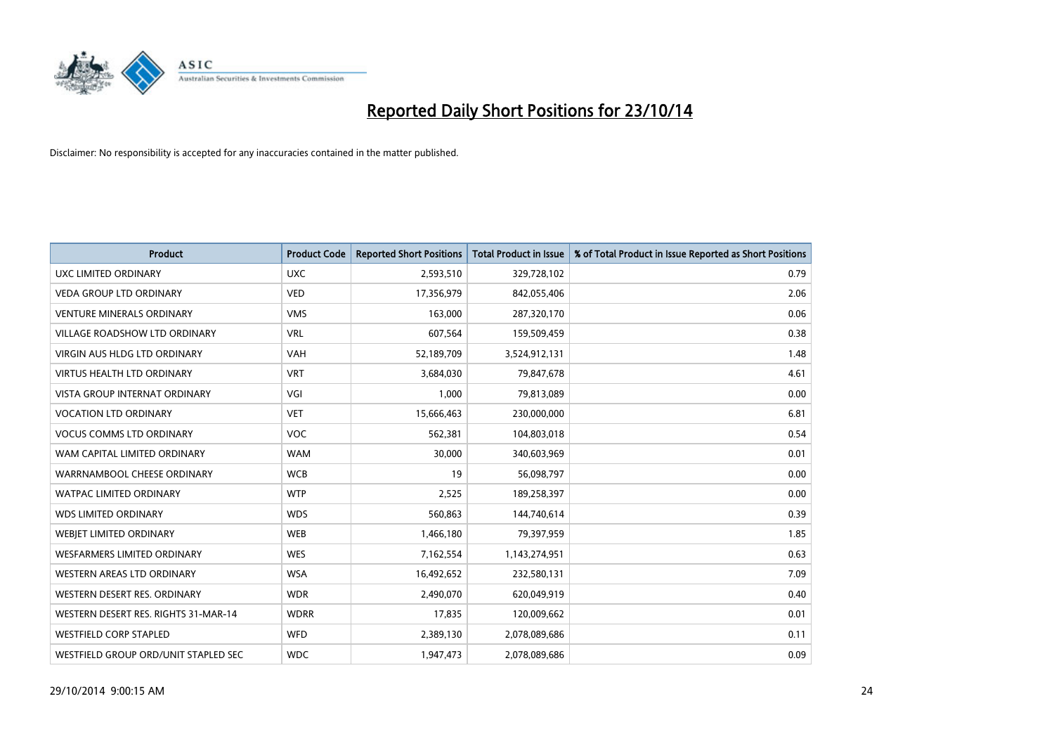

| <b>Product</b>                       | <b>Product Code</b> | <b>Reported Short Positions</b> | <b>Total Product in Issue</b> | % of Total Product in Issue Reported as Short Positions |
|--------------------------------------|---------------------|---------------------------------|-------------------------------|---------------------------------------------------------|
| <b>UXC LIMITED ORDINARY</b>          | <b>UXC</b>          | 2,593,510                       | 329,728,102                   | 0.79                                                    |
| <b>VEDA GROUP LTD ORDINARY</b>       | <b>VED</b>          | 17,356,979                      | 842,055,406                   | 2.06                                                    |
| <b>VENTURE MINERALS ORDINARY</b>     | <b>VMS</b>          | 163,000                         | 287,320,170                   | 0.06                                                    |
| VILLAGE ROADSHOW LTD ORDINARY        | <b>VRL</b>          | 607,564                         | 159,509,459                   | 0.38                                                    |
| <b>VIRGIN AUS HLDG LTD ORDINARY</b>  | <b>VAH</b>          | 52,189,709                      | 3,524,912,131                 | 1.48                                                    |
| <b>VIRTUS HEALTH LTD ORDINARY</b>    | <b>VRT</b>          | 3,684,030                       | 79,847,678                    | 4.61                                                    |
| <b>VISTA GROUP INTERNAT ORDINARY</b> | VGI                 | 1,000                           | 79,813,089                    | 0.00                                                    |
| <b>VOCATION LTD ORDINARY</b>         | <b>VET</b>          | 15,666,463                      | 230,000,000                   | 6.81                                                    |
| <b>VOCUS COMMS LTD ORDINARY</b>      | <b>VOC</b>          | 562,381                         | 104,803,018                   | 0.54                                                    |
| WAM CAPITAL LIMITED ORDINARY         | <b>WAM</b>          | 30,000                          | 340,603,969                   | 0.01                                                    |
| WARRNAMBOOL CHEESE ORDINARY          | <b>WCB</b>          | 19                              | 56,098,797                    | 0.00                                                    |
| <b>WATPAC LIMITED ORDINARY</b>       | <b>WTP</b>          | 2,525                           | 189,258,397                   | 0.00                                                    |
| <b>WDS LIMITED ORDINARY</b>          | <b>WDS</b>          | 560,863                         | 144,740,614                   | 0.39                                                    |
| WEBIET LIMITED ORDINARY              | <b>WEB</b>          | 1,466,180                       | 79,397,959                    | 1.85                                                    |
| <b>WESFARMERS LIMITED ORDINARY</b>   | <b>WES</b>          | 7,162,554                       | 1,143,274,951                 | 0.63                                                    |
| WESTERN AREAS LTD ORDINARY           | <b>WSA</b>          | 16,492,652                      | 232,580,131                   | 7.09                                                    |
| WESTERN DESERT RES. ORDINARY         | <b>WDR</b>          | 2,490,070                       | 620,049,919                   | 0.40                                                    |
| WESTERN DESERT RES. RIGHTS 31-MAR-14 | <b>WDRR</b>         | 17,835                          | 120,009,662                   | 0.01                                                    |
| <b>WESTFIELD CORP STAPLED</b>        | <b>WFD</b>          | 2,389,130                       | 2,078,089,686                 | 0.11                                                    |
| WESTFIELD GROUP ORD/UNIT STAPLED SEC | <b>WDC</b>          | 1,947,473                       | 2,078,089,686                 | 0.09                                                    |